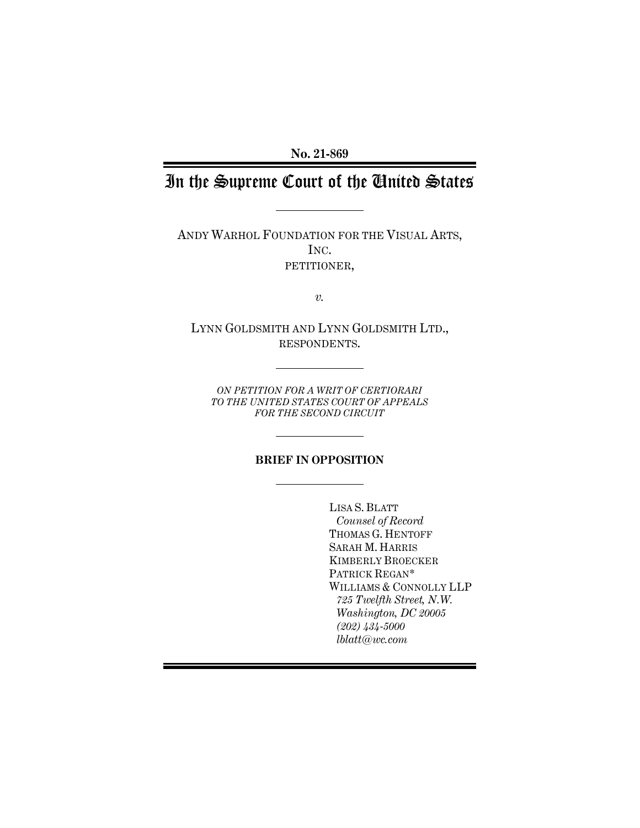**No. 21-869**

# In the Supreme Court of the United States

ANDY WARHOL FOUNDATION FOR THE VISUAL ARTS, INC. PETITIONER,

*v.*

LYNN GOLDSMITH AND LYNN GOLDSMITH LTD., RESPONDENTS.

*ON PETITION FOR A WRIT OF CERTIORARI TO THE UNITED STATES COURT OF APPEALS FOR THE SECOND CIRCUIT*

#### **BRIEF IN OPPOSITION**

LISA S. BLATT *Counsel of Record* THOMAS G. HENTOFF SARAH M. HARRIS KIMBERLY BROECKER PATRICK REGAN\* WILLIAMS & CONNOLLY LLP *725 Twelfth Street, N.W. Washington, DC 20005 (202) 434-5000 lblatt@wc.com*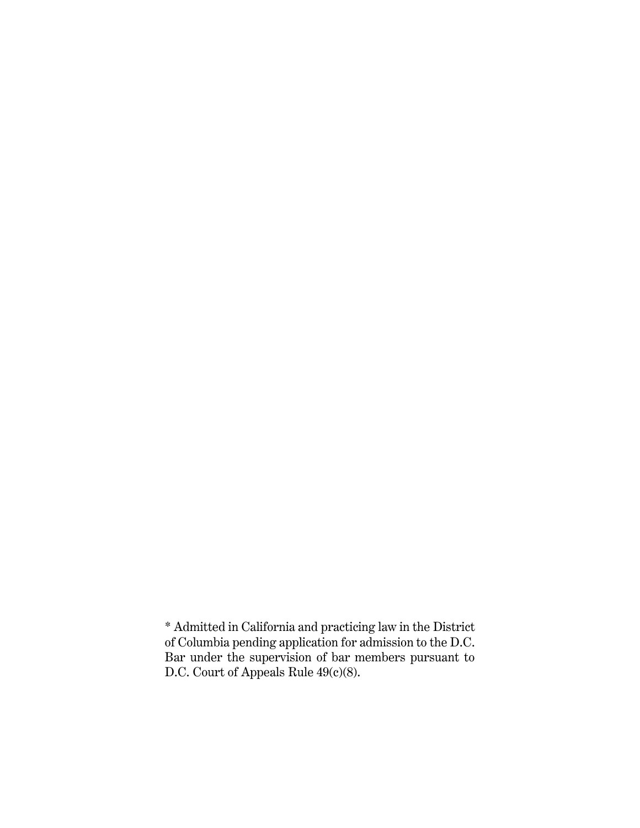\* Admitted in California and practicing law in the District of Columbia pending application for admission to the D.C. Bar under the supervision of bar members pursuant to D.C. Court of Appeals Rule 49(c)(8).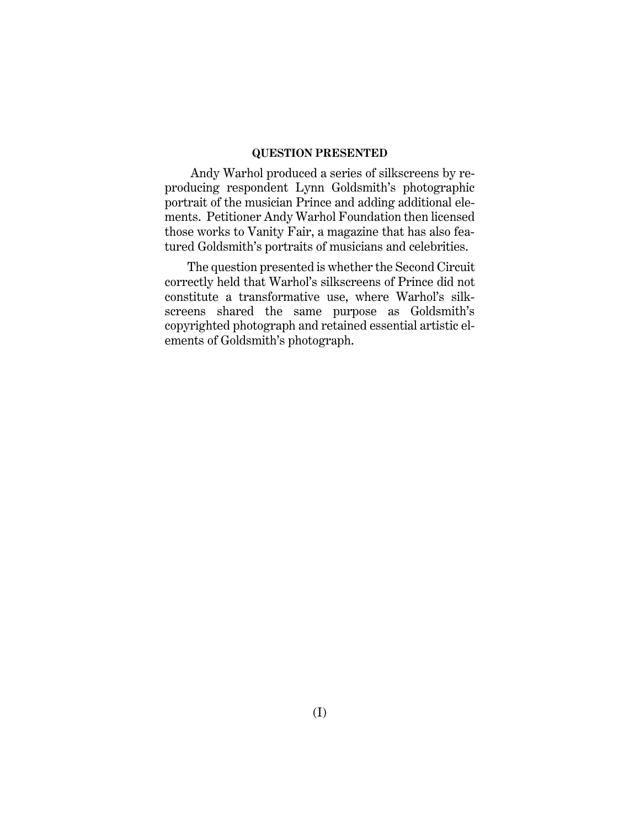#### **QUESTION PRESENTED**

Andy Warhol produced a series of silkscreens by reproducing respondent Lynn Goldsmith's photographic portrait of the musician Prince and adding additional elements. Petitioner Andy Warhol Foundation then licensed those works to Vanity Fair, a magazine that has also featured Goldsmith's portraits of musicians and celebrities.

The question presented is whether the Second Circuit correctly held that Warhol's silkscreens of Prince did not constitute a transformative use, where Warhol's silkscreens shared the same purpose as Goldsmith's copyrighted photograph and retained essential artistic elements of Goldsmith's photograph.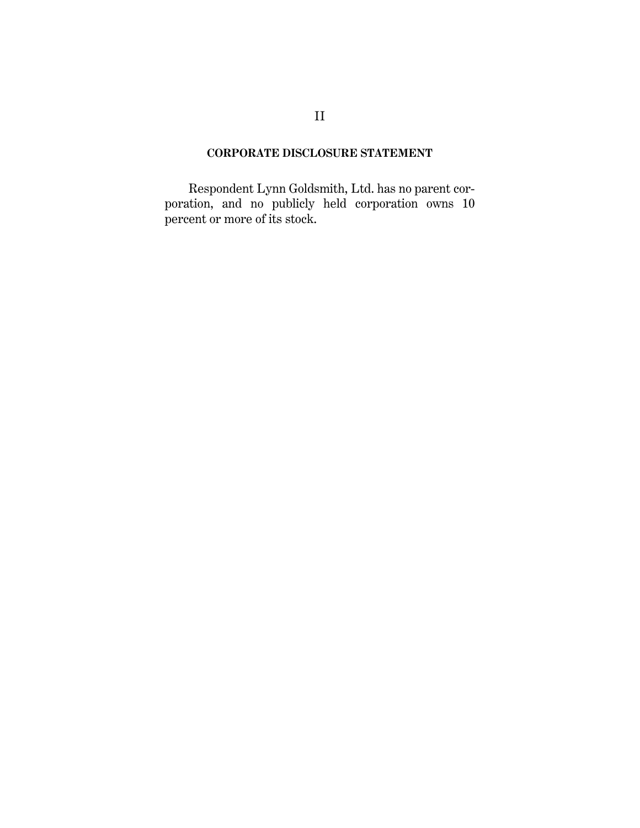### **CORPORATE DISCLOSURE STATEMENT**

Respondent Lynn Goldsmith, Ltd. has no parent corporation, and no publicly held corporation owns 10 percent or more of its stock.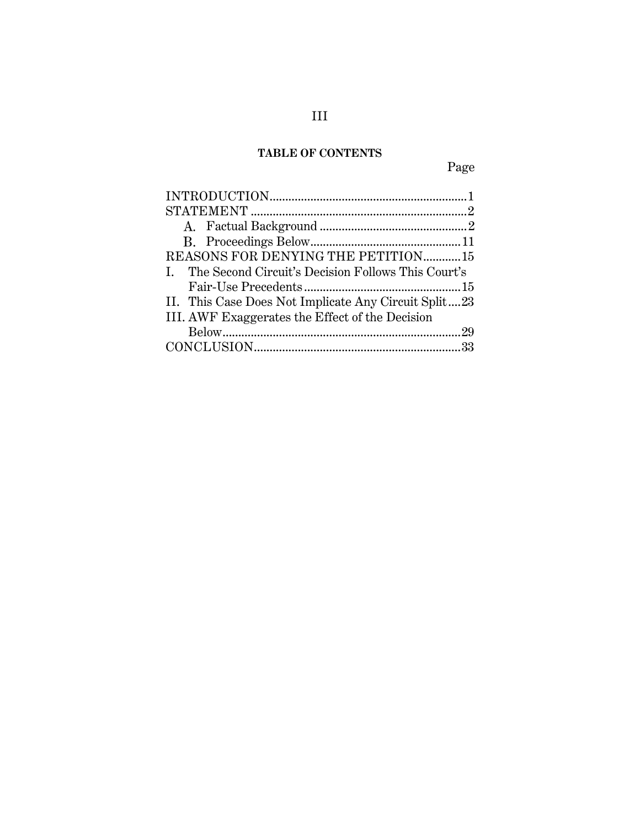## **TABLE OF CONTENTS**

Page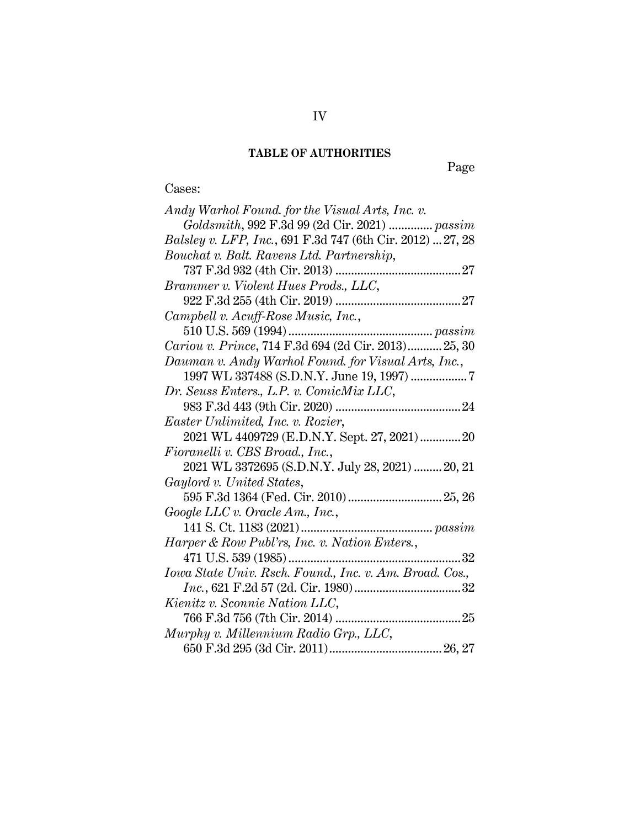#### **TABLE OF AUTHORITIES**

Cases:

Page

### *Andy Warhol Found. for the Visual Arts, Inc. v. Goldsmith*, 992 F.3d 99 (2d Cir. 2021) .............. *passim Balsley v. LFP, Inc.*, 691 F.3d 747 (6th Cir. 2012) ... [27,](#page-34-0) [28](#page-35-0) *Bouchat v. Balt. Ravens Ltd. Partnership*, 737 F.3d 932 (4th Cir. 2013) .......................................[.27](#page-34-1) *Brammer v. Violent Hues Prods., LLC*, 922 F.3d 255 (4th Cir. 2019) .......................................[.27](#page-34-2) *Campbell v. Acuff-Rose Music, Inc.*, 510 U.S. 569 (1994).............................................. *[passim](#page-9-2) Cariou v. Prince*, 714 F.3d 694 (2d Cir. 2013)........... [25,](#page-32-0) [30](#page-37-0) *Dauman v. Andy Warhol Found. for Visual Arts, Inc.*, 1997 WL 337488 (S.D.N.Y. June 19, 1997) .................[.7](#page-14-0) *Dr. Seuss Enters., L.P. v. ComicMix LLC*, 983 F.3d 443 (9th Cir. 2020) .......................................[.24](#page-31-0) *Easter Unlimited, Inc. v. Rozier*, 2021 WL 4409729 (E.D.N.Y. Sept. 27, 2021)............[.20](#page-27-0) *Fioranelli v. CBS Broad., Inc.*, 2021 WL 3372695 (S.D.N.Y. July 28, 2021) ......... [20,](#page-27-1) 21 *Gaylord v. United States*, 595 F.3d 1364 (Fed. Cir. 2010).............................. [25,](#page-32-1) 26 *Google LLC v. Oracle Am., Inc.*, 141 S. Ct. 1183 (2021).......................................... *[passim](#page-9-3) Harper & Row Publ'rs, Inc. v. Nation Enters.*, 471 U.S. 539 (1985)......................................................[.32](#page-39-0) *Iowa State Univ. Rsch. Found., Inc. v. Am. Broad. Cos., Inc.*, 621 F.2d 57 (2d. Cir. 1980).................................[.32](#page-39-1) *Kienitz v. Sconnie Nation LLC*, 766 F.3d 756 (7th Cir. 2014) .......................................[.25](#page-32-2) *Murphy v. Millennium Radio Grp., LLC*, 650 F.3d 295 (3d Cir. 2011).................................... [26,](#page-33-0) 27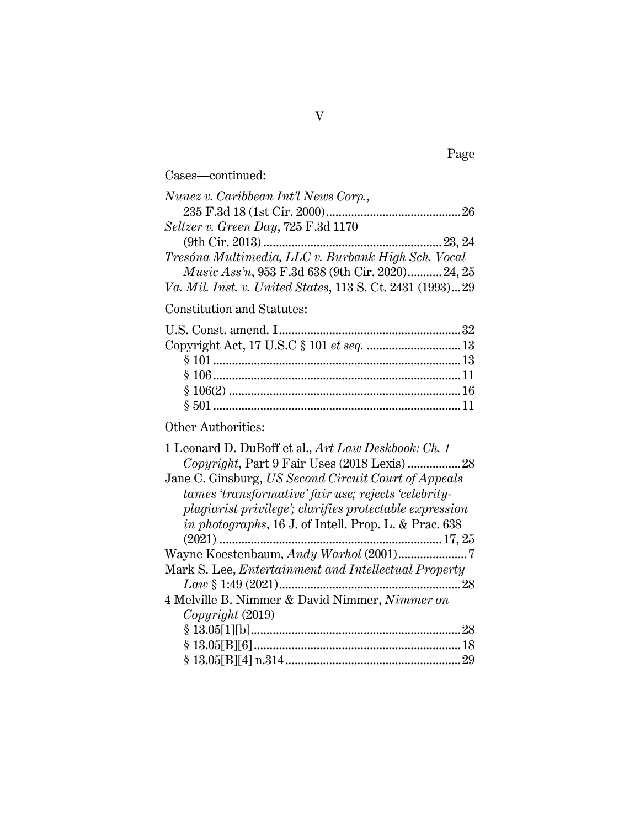| Cases—continued:                                            |  |
|-------------------------------------------------------------|--|
| Nunez v. Caribbean Int'l News Corp.,                        |  |
| $Selfzer \, v.$ Green $Day, 725$ $\rm F.3d$ $1170$          |  |
| Tresóna Multimedia, LLC v. Burbank High Sch. Vocal          |  |
| Music Ass'n, 953 F.3d 638 (9th Cir. 2020) 24, 25            |  |
| Va. Mil. Inst. v. United States, 113 S. Ct. 2431 (1993)29   |  |
| Constitution and Statutes:                                  |  |
|                                                             |  |
| Copyright Act, 17 U.S.C § 101 et seq.  13                   |  |
|                                                             |  |
|                                                             |  |
|                                                             |  |
|                                                             |  |
| Other Authorities:                                          |  |
| 1 Leonard D. DuBoff et al., Art Law Deskbook: Ch. 1         |  |
|                                                             |  |
| Jane C. Ginsburg, US Second Circuit Court of Appeals        |  |
| tames 'transformative' fair use; rejects 'celebrity-        |  |
| plagiarist privilege'; clarifies protectable expression     |  |
| in photographs, 16 J. of Intell. Prop. L. & Prac. 638       |  |
|                                                             |  |
|                                                             |  |
| Mark S. Lee, <i>Entertainment and Intellectual Property</i> |  |
|                                                             |  |
| 4 Melville B. Nimmer & David Nimmer, Nimmer on              |  |
| Copyright (2019)                                            |  |
|                                                             |  |
|                                                             |  |
|                                                             |  |
|                                                             |  |

Page

V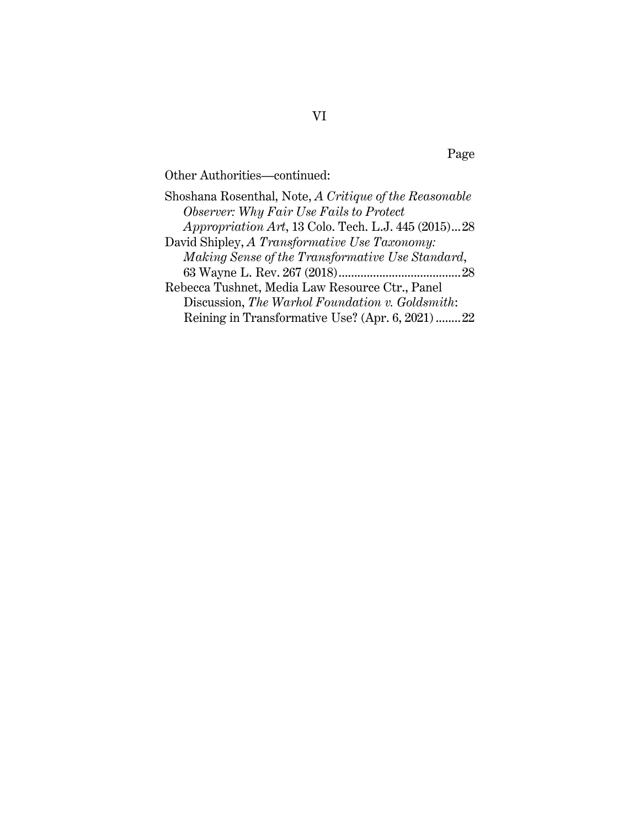Page

Other Authorities—continued:

Shoshana Rosenthal, Note, *A Critique of the Reasonable Observer: Why Fair Use Fails to Protect Appropriation Art*, 13 Colo. Tech. L.J. 445 (2015)..[.28](#page-35-4) David Shipley, *A Transformative Use Taxonomy: Making Sense of the Transformative Use Standard*, 63 Wayne L. Rev. 267 (2018)......................................[.28](#page-35-5) Rebecca Tushnet, Media Law Resource Ctr., Panel Discussion, *The Warhol Foundation v. Goldsmith*: Reining in Transformative Use? (Apr. 6, 2021) .......[.22](#page-29-0)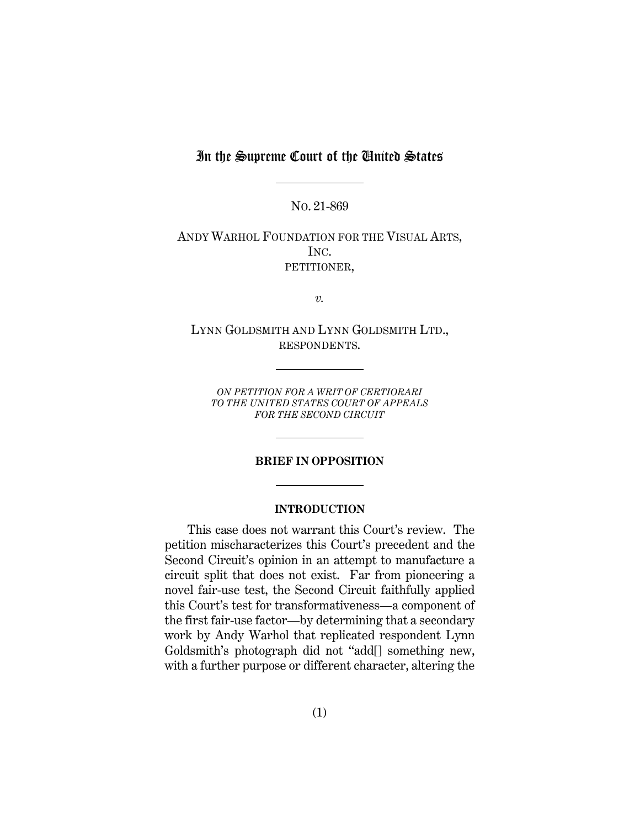### In the Supreme Court of the United States

NO. 21-869

ANDY WARHOL FOUNDATION FOR THE VISUAL ARTS, INC. PETITIONER,

*v.*

LYNN GOLDSMITH AND LYNN GOLDSMITH LTD., RESPONDENTS.

*ON PETITION FOR A WRIT OF CERTIORARI TO THE UNITED STATES COURT OF APPEALS FOR THE SECOND CIRCUIT*

#### **BRIEF IN OPPOSITION**

#### **INTRODUCTION**

<span id="page-8-0"></span>This case does not warrant this Court's review. The petition mischaracterizes this Court's precedent and the Second Circuit's opinion in an attempt to manufacture a circuit split that does not exist. Far from pioneering a novel fair-use test, the Second Circuit faithfully applied this Court's test for transformativeness—a component of the first fair-use factor—by determining that a secondary work by Andy Warhol that replicated respondent Lynn Goldsmith's photograph did not "add[] something new, with a further purpose or different character, altering the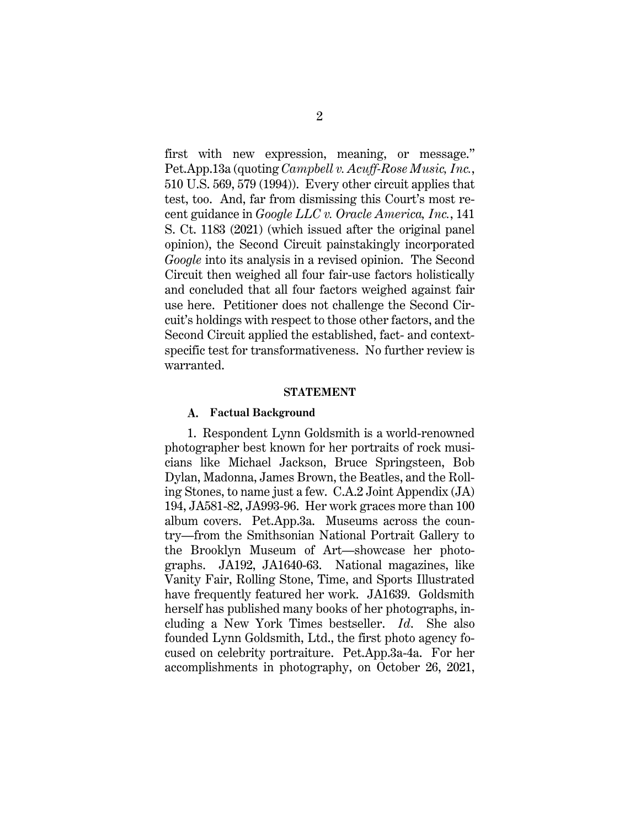<span id="page-9-3"></span><span id="page-9-2"></span>first with new expression, meaning, or message." Pet.App.13a (quoting *Campbell v. Acuff-Rose Music, Inc.*, 510 U.S. 569, 579 (1994)). Every other circuit applies that test, too. And, far from dismissing this Court's most recent guidance in *Google LLC v. Oracle America, Inc.*, 141 S. Ct. 1183 (2021) (which issued after the original panel opinion), the Second Circuit painstakingly incorporated *Google* into its analysis in a revised opinion. The Second Circuit then weighed all four fair-use factors holistically and concluded that all four factors weighed against fair use here. Petitioner does not challenge the Second Circuit's holdings with respect to those other factors, and the Second Circuit applied the established, fact- and contextspecific test for transformativeness. No further review is warranted.

#### **STATEMENT**

#### <span id="page-9-1"></span><span id="page-9-0"></span>**Factual Background A.**

1. Respondent Lynn Goldsmith is a world-renowned photographer best known for her portraits of rock musicians like Michael Jackson, Bruce Springsteen, Bob Dylan, Madonna, James Brown, the Beatles, and the Rolling Stones, to name just a few. C.A.2 Joint Appendix (JA) 194, JA581-82, JA993-96. Her work graces more than 100 album covers. Pet.App.3a. Museums across the country—from the Smithsonian National Portrait Gallery to the Brooklyn Museum of Art—showcase her photographs. JA192, JA1640-63. National magazines, like Vanity Fair, Rolling Stone, Time, and Sports Illustrated have frequently featured her work. JA1639. Goldsmith herself has published many books of her photographs, including a New York Times bestseller. *Id*. She also founded Lynn Goldsmith, Ltd., the first photo agency focused on celebrity portraiture. Pet.App.3a-4a. For her accomplishments in photography, on October 26, 2021,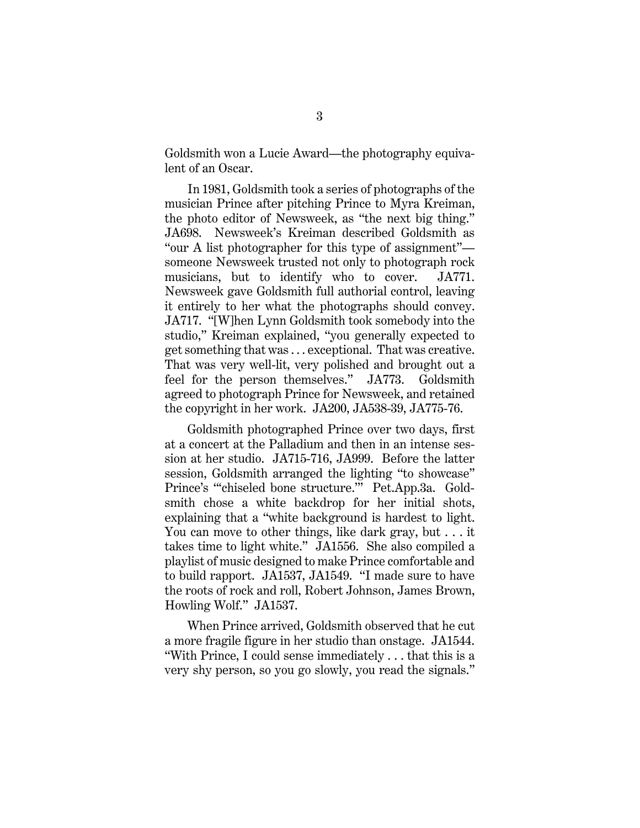Goldsmith won a Lucie Award—the photography equivalent of an Oscar.

In 1981, Goldsmith took a series of photographs of the musician Prince after pitching Prince to Myra Kreiman, the photo editor of Newsweek, as "the next big thing." JA698. Newsweek's Kreiman described Goldsmith as "our A list photographer for this type of assignment" someone Newsweek trusted not only to photograph rock musicians, but to identify who to cover. JA771. Newsweek gave Goldsmith full authorial control, leaving it entirely to her what the photographs should convey. JA717. "[W]hen Lynn Goldsmith took somebody into the studio," Kreiman explained, "you generally expected to get something that was . . . exceptional. That was creative. That was very well-lit, very polished and brought out a feel for the person themselves." JA773. Goldsmith agreed to photograph Prince for Newsweek, and retained the copyright in her work. JA200, JA538-39, JA775-76.

Goldsmith photographed Prince over two days, first at a concert at the Palladium and then in an intense session at her studio. JA715-716, JA999. Before the latter session, Goldsmith arranged the lighting "to showcase" Prince's "'chiseled bone structure.'" Pet.App.3a. Goldsmith chose a white backdrop for her initial shots, explaining that a "white background is hardest to light. You can move to other things, like dark gray, but . . . it takes time to light white." JA1556. She also compiled a playlist of music designed to make Prince comfortable and to build rapport. JA1537, JA1549. "I made sure to have the roots of rock and roll, Robert Johnson, James Brown, Howling Wolf." JA1537.

When Prince arrived, Goldsmith observed that he cut a more fragile figure in her studio than onstage. JA1544. "With Prince, I could sense immediately . . . that this is a very shy person, so you go slowly, you read the signals."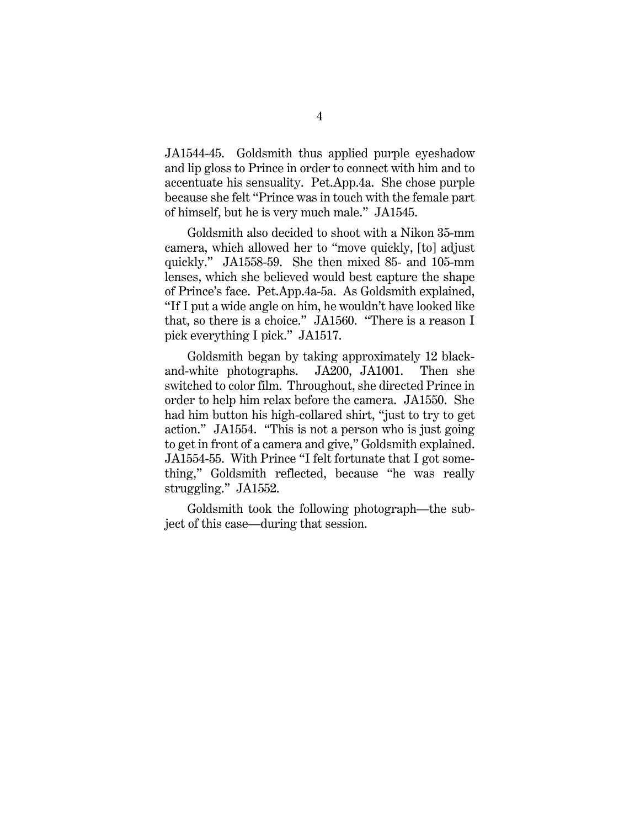JA1544-45. Goldsmith thus applied purple eyeshadow and lip gloss to Prince in order to connect with him and to accentuate his sensuality. Pet.App.4a. She chose purple because she felt "Prince was in touch with the female part of himself, but he is very much male." JA1545.

Goldsmith also decided to shoot with a Nikon 35-mm camera, which allowed her to "move quickly, [to] adjust quickly." JA1558-59. She then mixed 85- and 105-mm lenses, which she believed would best capture the shape of Prince's face. Pet.App.4a-5a. As Goldsmith explained, "If I put a wide angle on him, he wouldn't have looked like that, so there is a choice." JA1560. "There is a reason I pick everything I pick." JA1517.

Goldsmith began by taking approximately 12 blackand-white photographs. JA200, JA1001. Then she switched to color film. Throughout, she directed Prince in order to help him relax before the camera. JA1550. She had him button his high-collared shirt, "just to try to get action." JA1554. "This is not a person who is just going to get in front of a camera and give," Goldsmith explained. JA1554-55. With Prince "I felt fortunate that I got something," Goldsmith reflected, because "he was really struggling." JA1552.

Goldsmith took the following photograph—the subject of this case—during that session.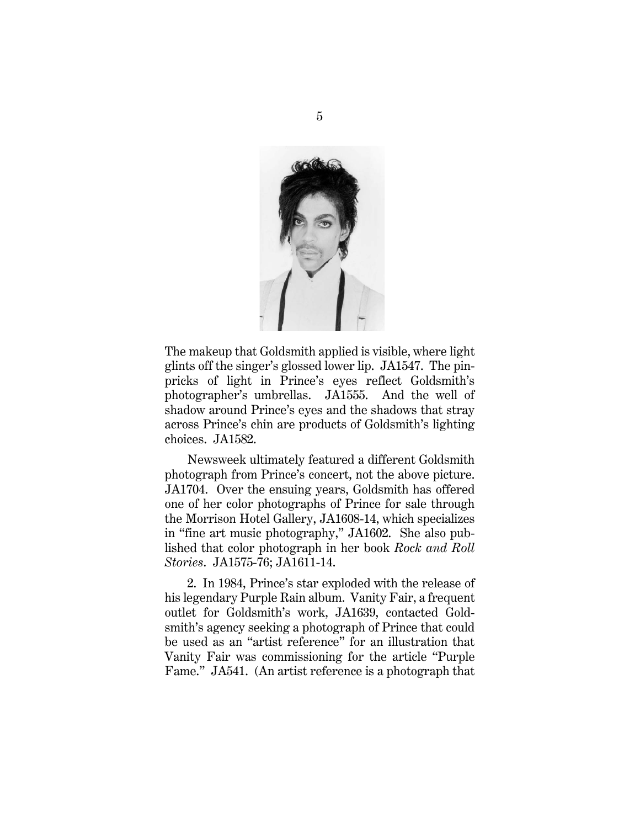

The makeup that Goldsmith applied is visible, where light glints off the singer's glossed lower lip. JA1547. The pinpricks of light in Prince's eyes reflect Goldsmith's photographer's umbrellas. JA1555. And the well of shadow around Prince's eyes and the shadows that stray across Prince's chin are products of Goldsmith's lighting choices. JA1582.

Newsweek ultimately featured a different Goldsmith photograph from Prince's concert, not the above picture. JA1704. Over the ensuing years, Goldsmith has offered one of her color photographs of Prince for sale through the Morrison Hotel Gallery, JA1608-14, which specializes in "fine art music photography," JA1602. She also published that color photograph in her book *Rock and Roll Stories*. JA1575-76; JA1611-14.

2. In 1984, Prince's star exploded with the release of his legendary Purple Rain album. Vanity Fair, a frequent outlet for Goldsmith's work, JA1639, contacted Goldsmith's agency seeking a photograph of Prince that could be used as an "artist reference" for an illustration that Vanity Fair was commissioning for the article "Purple Fame." JA541. (An artist reference is a photograph that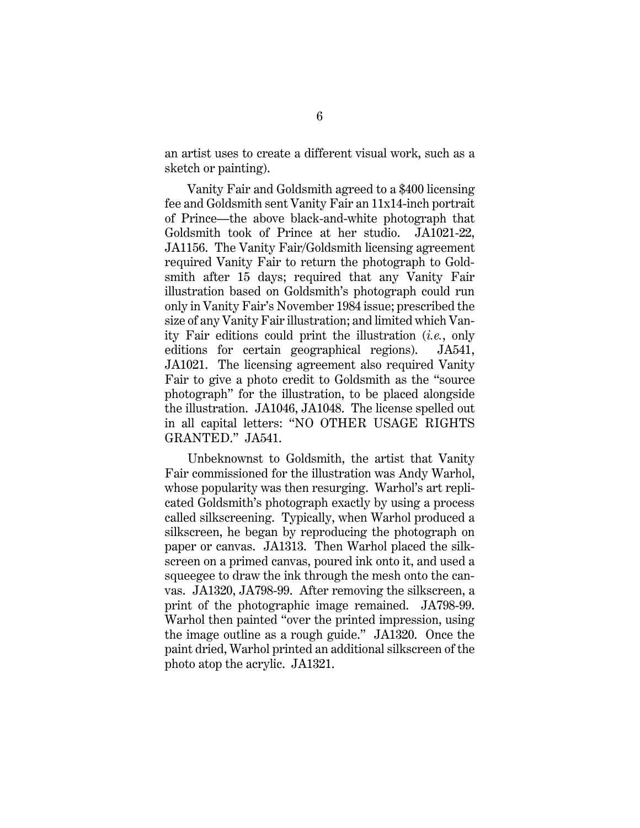an artist uses to create a different visual work, such as a sketch or painting).

Vanity Fair and Goldsmith agreed to a \$400 licensing fee and Goldsmith sent Vanity Fair an 11x14-inch portrait of Prince—the above black-and-white photograph that Goldsmith took of Prince at her studio. JA1021-22, JA1156. The Vanity Fair/Goldsmith licensing agreement required Vanity Fair to return the photograph to Goldsmith after 15 days; required that any Vanity Fair illustration based on Goldsmith's photograph could run only in Vanity Fair's November 1984 issue; prescribed the size of any Vanity Fair illustration; and limited which Vanity Fair editions could print the illustration (*i.e.*, only editions for certain geographical regions). JA541, JA1021. The licensing agreement also required Vanity Fair to give a photo credit to Goldsmith as the "source photograph" for the illustration, to be placed alongside the illustration. JA1046, JA1048. The license spelled out in all capital letters: "NO OTHER USAGE RIGHTS GRANTED." JA541.

Unbeknownst to Goldsmith, the artist that Vanity Fair commissioned for the illustration was Andy Warhol, whose popularity was then resurging. Warhol's art replicated Goldsmith's photograph exactly by using a process called silkscreening. Typically, when Warhol produced a silkscreen, he began by reproducing the photograph on paper or canvas. JA1313. Then Warhol placed the silkscreen on a primed canvas, poured ink onto it, and used a squeegee to draw the ink through the mesh onto the canvas. JA1320, JA798-99. After removing the silkscreen, a print of the photographic image remained. JA798-99. Warhol then painted "over the printed impression, using the image outline as a rough guide." JA1320. Once the paint dried, Warhol printed an additional silkscreen of the photo atop the acrylic. JA1321.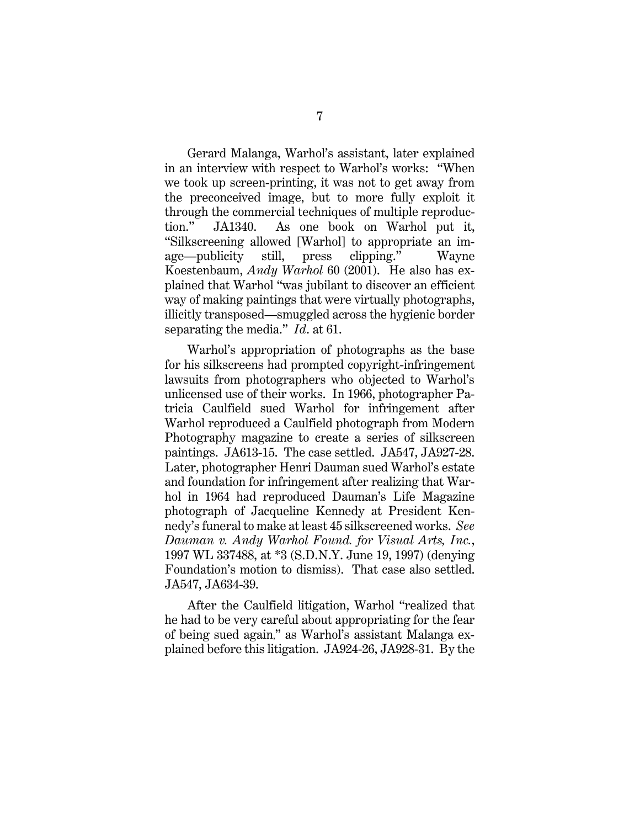Gerard Malanga, Warhol's assistant, later explained in an interview with respect to Warhol's works: "When we took up screen-printing, it was not to get away from the preconceived image, but to more fully exploit it through the commercial techniques of multiple reproduction." JA1340. As one book on Warhol put it, "Silkscreening allowed [Warhol] to appropriate an image—publicity still, press clipping." Wayne Koestenbaum, *Andy Warhol* 60 (2001). He also has explained that Warhol "was jubilant to discover an efficient way of making paintings that were virtually photographs, illicitly transposed—smuggled across the hygienic border separating the media." *Id*. at 61.

<span id="page-14-0"></span>Warhol's appropriation of photographs as the base for his silkscreens had prompted copyright-infringement lawsuits from photographers who objected to Warhol's unlicensed use of their works. In 1966, photographer Patricia Caulfield sued Warhol for infringement after Warhol reproduced a Caulfield photograph from Modern Photography magazine to create a series of silkscreen paintings. JA613-15. The case settled. JA547, JA927-28. Later, photographer Henri Dauman sued Warhol's estate and foundation for infringement after realizing that Warhol in 1964 had reproduced Dauman's Life Magazine photograph of Jacqueline Kennedy at President Kennedy's funeral to make at least 45 silkscreened works. *See Dauman v. Andy Warhol Found. for Visual Arts, Inc.*, 1997 WL 337488, at \*3 (S.D.N.Y. June 19, 1997) (denying Foundation's motion to dismiss). That case also settled. JA547, JA634-39.

After the Caulfield litigation, Warhol "realized that he had to be very careful about appropriating for the fear of being sued again," as Warhol's assistant Malanga explained before this litigation. JA924-26, JA928-31. By the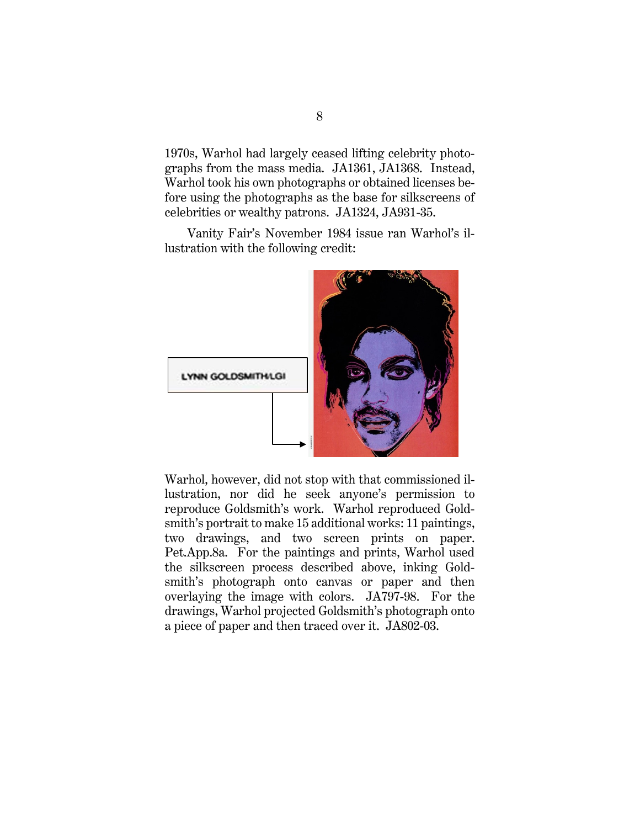1970s, Warhol had largely ceased lifting celebrity photographs from the mass media. JA1361, JA1368. Instead, Warhol took his own photographs or obtained licenses before using the photographs as the base for silkscreens of celebrities or wealthy patrons. JA1324, JA931-35.

Vanity Fair's November 1984 issue ran Warhol's illustration with the following credit:



Warhol, however, did not stop with that commissioned illustration, nor did he seek anyone's permission to reproduce Goldsmith's work. Warhol reproduced Goldsmith's portrait to make 15 additional works: 11 paintings, two drawings, and two screen prints on paper. Pet.App.8a. For the paintings and prints, Warhol used the silkscreen process described above, inking Goldsmith's photograph onto canvas or paper and then overlaying the image with colors. JA797-98. For the drawings, Warhol projected Goldsmith's photograph onto a piece of paper and then traced over it. JA802-03.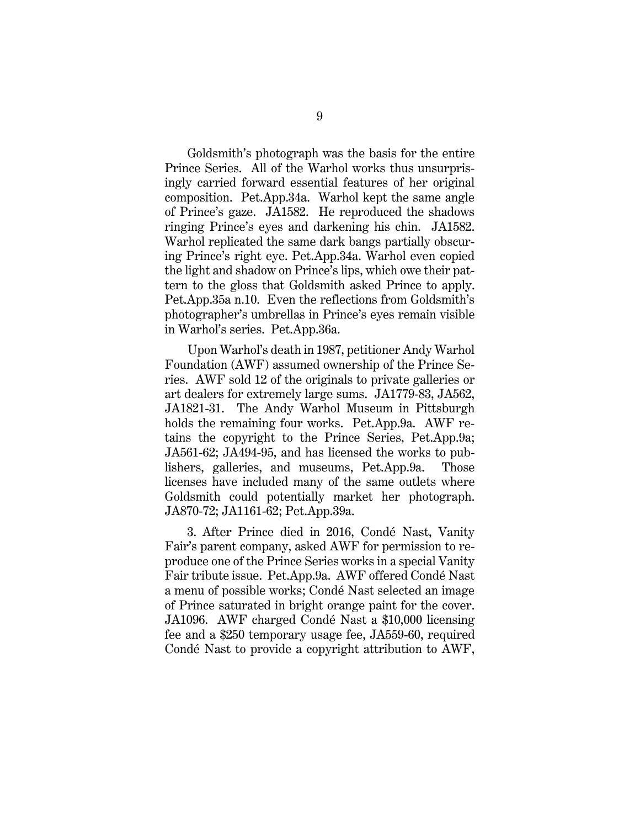Goldsmith's photograph was the basis for the entire Prince Series. All of the Warhol works thus unsurprisingly carried forward essential features of her original composition. Pet.App.34a. Warhol kept the same angle of Prince's gaze. JA1582. He reproduced the shadows ringing Prince's eyes and darkening his chin. JA1582. Warhol replicated the same dark bangs partially obscuring Prince's right eye. Pet.App.34a. Warhol even copied the light and shadow on Prince's lips, which owe their pattern to the gloss that Goldsmith asked Prince to apply. Pet.App.35a n.10. Even the reflections from Goldsmith's photographer's umbrellas in Prince's eyes remain visible in Warhol's series. Pet.App.36a.

Upon Warhol's death in 1987, petitioner Andy Warhol Foundation (AWF) assumed ownership of the Prince Series. AWF sold 12 of the originals to private galleries or art dealers for extremely large sums. JA1779-83, JA562, JA1821-31. The Andy Warhol Museum in Pittsburgh holds the remaining four works. Pet.App.9a. AWF retains the copyright to the Prince Series, Pet.App.9a; JA561-62; JA494-95, and has licensed the works to publishers, galleries, and museums, Pet.App.9a. Those licenses have included many of the same outlets where Goldsmith could potentially market her photograph. JA870-72; JA1161-62; Pet.App.39a.

3. After Prince died in 2016, Condé Nast, Vanity Fair's parent company, asked AWF for permission to reproduce one of the Prince Series works in a special Vanity Fair tribute issue. Pet.App.9a. AWF offered Condé Nast a menu of possible works; Condé Nast selected an image of Prince saturated in bright orange paint for the cover. JA1096. AWF charged Condé Nast a \$10,000 licensing fee and a \$250 temporary usage fee, JA559-60, required Condé Nast to provide a copyright attribution to AWF,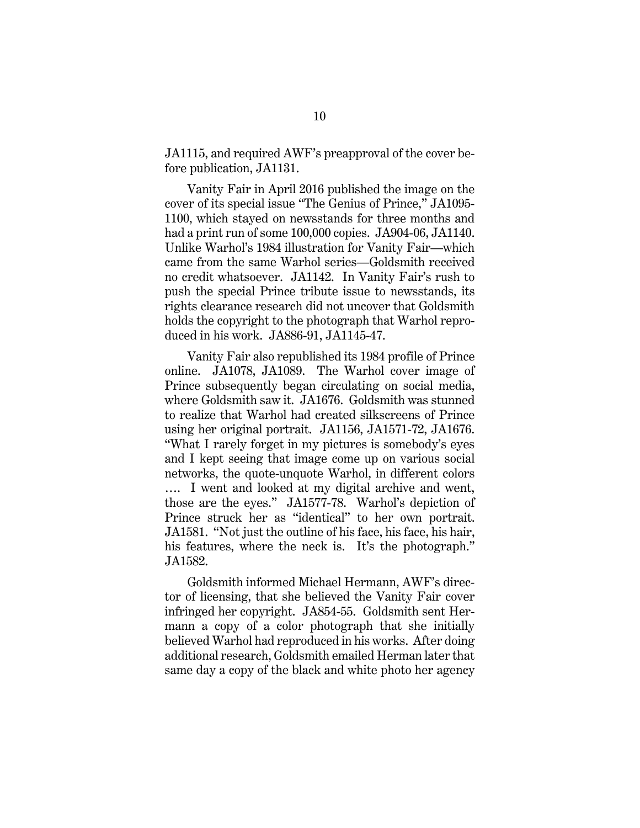JA1115, and required AWF's preapproval of the cover before publication, JA1131.

Vanity Fair in April 2016 published the image on the cover of its special issue "The Genius of Prince," JA1095- 1100, which stayed on newsstands for three months and had a print run of some 100,000 copies. JA904-06, JA1140. Unlike Warhol's 1984 illustration for Vanity Fair—which came from the same Warhol series—Goldsmith received no credit whatsoever. JA1142. In Vanity Fair's rush to push the special Prince tribute issue to newsstands, its rights clearance research did not uncover that Goldsmith holds the copyright to the photograph that Warhol reproduced in his work. JA886-91, JA1145-47.

Vanity Fair also republished its 1984 profile of Prince online. JA1078, JA1089. The Warhol cover image of Prince subsequently began circulating on social media, where Goldsmith saw it. JA1676. Goldsmith was stunned to realize that Warhol had created silkscreens of Prince using her original portrait. JA1156, JA1571-72, JA1676. "What I rarely forget in my pictures is somebody's eyes and I kept seeing that image come up on various social networks, the quote-unquote Warhol, in different colors …. I went and looked at my digital archive and went, those are the eyes." JA1577-78. Warhol's depiction of Prince struck her as "identical" to her own portrait. JA1581. "Not just the outline of his face, his face, his hair, his features, where the neck is. It's the photograph." JA1582.

Goldsmith informed Michael Hermann, AWF's director of licensing, that she believed the Vanity Fair cover infringed her copyright. JA854-55. Goldsmith sent Hermann a copy of a color photograph that she initially believed Warhol had reproduced in his works. After doing additional research, Goldsmith emailed Herman later that same day a copy of the black and white photo her agency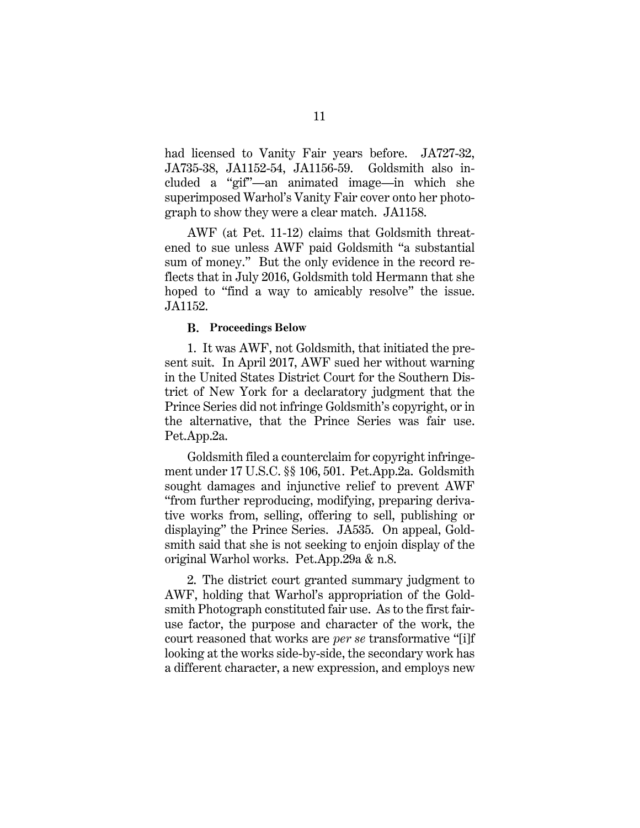had licensed to Vanity Fair years before. JA727-32, JA735-38, JA1152-54, JA1156-59. Goldsmith also included a "gif"—an animated image—in which she superimposed Warhol's Vanity Fair cover onto her photograph to show they were a clear match. JA1158.

AWF (at Pet. 11-12) claims that Goldsmith threatened to sue unless AWF paid Goldsmith "a substantial sum of money." But the only evidence in the record reflects that in July 2016, Goldsmith told Hermann that she hoped to "find a way to amicably resolve" the issue. JA1152.

#### **Proceedings Below**

<span id="page-18-0"></span>1. It was AWF, not Goldsmith, that initiated the present suit. In April 2017, AWF sued her without warning in the United States District Court for the Southern District of New York for a declaratory judgment that the Prince Series did not infringe Goldsmith's copyright, or in the alternative, that the Prince Series was fair use. Pet.App.2a.

<span id="page-18-1"></span>Goldsmith filed a counterclaim for copyright infringement under 17 U.S.C. §§ 106, 501. Pet.App.2a. Goldsmith sought damages and injunctive relief to prevent AWF "from further reproducing, modifying, preparing derivative works from, selling, offering to sell, publishing or displaying" the Prince Series. JA535. On appeal, Goldsmith said that she is not seeking to enjoin display of the original Warhol works. Pet.App.29a & n.8.

2. The district court granted summary judgment to AWF, holding that Warhol's appropriation of the Goldsmith Photograph constituted fair use. As to the first fairuse factor, the purpose and character of the work, the court reasoned that works are *per se* transformative "[i]f looking at the works side-by-side, the secondary work has a different character, a new expression, and employs new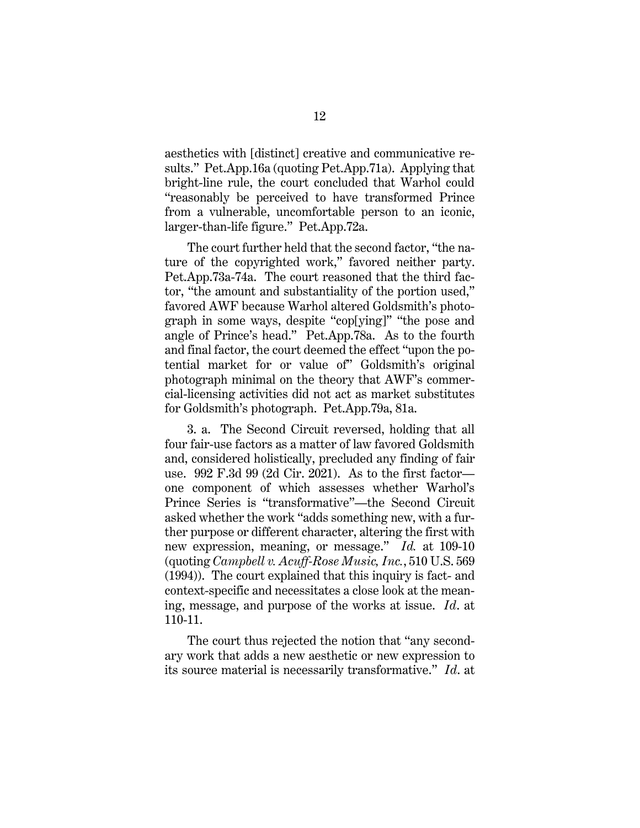aesthetics with [distinct] creative and communicative results." Pet.App.16a (quoting Pet.App.71a). Applying that bright-line rule, the court concluded that Warhol could "reasonably be perceived to have transformed Prince from a vulnerable, uncomfortable person to an iconic, larger-than-life figure." Pet.App.72a.

The court further held that the second factor, "the nature of the copyrighted work," favored neither party. Pet.App.73a-74a. The court reasoned that the third factor, "the amount and substantiality of the portion used," favored AWF because Warhol altered Goldsmith's photograph in some ways, despite "cop[ying]" "the pose and angle of Prince's head." Pet.App.78a. As to the fourth and final factor, the court deemed the effect "upon the potential market for or value of" Goldsmith's original photograph minimal on the theory that AWF's commercial-licensing activities did not act as market substitutes for Goldsmith's photograph. Pet.App.79a, 81a.

3. a. The Second Circuit reversed, holding that all four fair-use factors as a matter of law favored Goldsmith and, considered holistically, precluded any finding of fair use. 992 F.3d 99 (2d Cir. 2021). As to the first factor one component of which assesses whether Warhol's Prince Series is "transformative"—the Second Circuit asked whether the work "adds something new, with a further purpose or different character, altering the first with new expression, meaning, or message." *Id.* at 109-10 (quoting *Campbell v. Acuff-Rose Music, Inc.*, 510 U.S. 569 (1994)). The court explained that this inquiry is fact- and context-specific and necessitates a close look at the meaning, message, and purpose of the works at issue. *Id*. at 110-11.

The court thus rejected the notion that "any secondary work that adds a new aesthetic or new expression to its source material is necessarily transformative." *Id*. at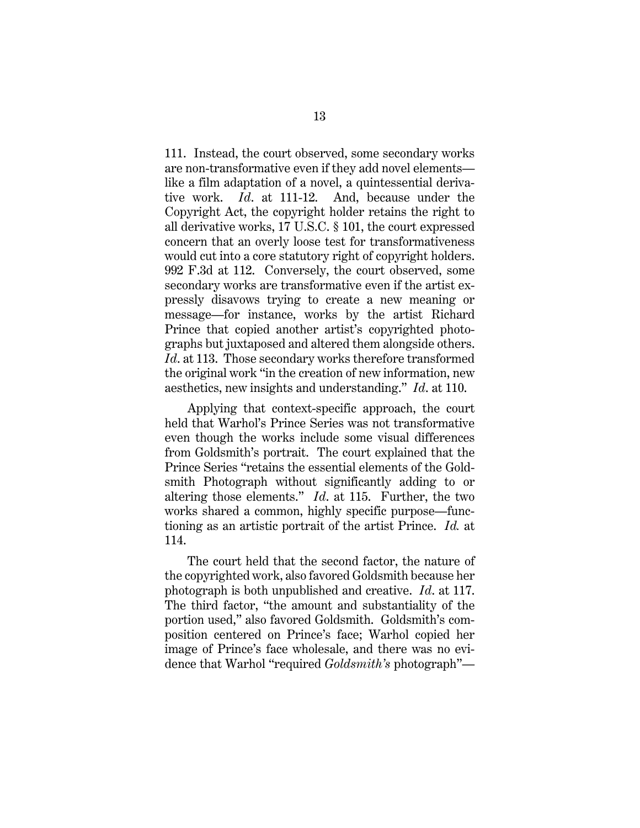<span id="page-20-1"></span><span id="page-20-0"></span>111. Instead, the court observed, some secondary works are non-transformative even if they add novel elements like a film adaptation of a novel, a quintessential derivative work. *Id*. at 111-12. And, because under the Copyright Act, the copyright holder retains the right to all derivative works, 17 U.S.C. § 101, the court expressed concern that an overly loose test for transformativeness would cut into a core statutory right of copyright holders. 992 F.3d at 112. Conversely, the court observed, some secondary works are transformative even if the artist expressly disavows trying to create a new meaning or message—for instance, works by the artist Richard Prince that copied another artist's copyrighted photographs but juxtaposed and altered them alongside others. *Id*. at 113. Those secondary works therefore transformed the original work "in the creation of new information, new aesthetics, new insights and understanding." *Id*. at 110.

Applying that context-specific approach, the court held that Warhol's Prince Series was not transformative even though the works include some visual differences from Goldsmith's portrait. The court explained that the Prince Series "retains the essential elements of the Goldsmith Photograph without significantly adding to or altering those elements." *Id*. at 115. Further, the two works shared a common, highly specific purpose—functioning as an artistic portrait of the artist Prince. *Id.* at 114.

The court held that the second factor, the nature of the copyrighted work, also favored Goldsmith because her photograph is both unpublished and creative. *Id*. at 117. The third factor, "the amount and substantiality of the portion used," also favored Goldsmith. Goldsmith's composition centered on Prince's face; Warhol copied her image of Prince's face wholesale, and there was no evidence that Warhol "required *Goldsmith's* photograph"—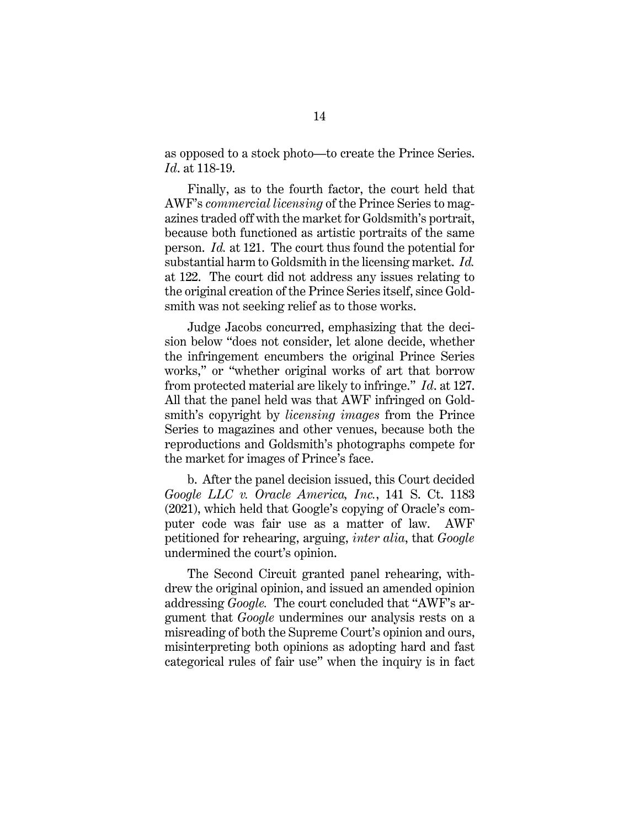as opposed to a stock photo—to create the Prince Series. *Id*. at 118-19.

Finally, as to the fourth factor, the court held that AWF's *commercial licensing* of the Prince Series to magazines traded off with the market for Goldsmith's portrait, because both functioned as artistic portraits of the same person. *Id.* at 121. The court thus found the potential for substantial harm to Goldsmith in the licensing market. *Id.*  at 122. The court did not address any issues relating to the original creation of the Prince Series itself, since Goldsmith was not seeking relief as to those works.

Judge Jacobs concurred, emphasizing that the decision below "does not consider, let alone decide, whether the infringement encumbers the original Prince Series works," or "whether original works of art that borrow from protected material are likely to infringe." *Id*. at 127. All that the panel held was that AWF infringed on Goldsmith's copyright by *licensing images* from the Prince Series to magazines and other venues, because both the reproductions and Goldsmith's photographs compete for the market for images of Prince's face.

b. After the panel decision issued, this Court decided *Google LLC v. Oracle America, Inc.*, 141 S. Ct. 1183 (2021), which held that Google's copying of Oracle's computer code was fair use as a matter of law. AWF petitioned for rehearing, arguing, *inter alia*, that *Google*  undermined the court's opinion.

The Second Circuit granted panel rehearing, withdrew the original opinion, and issued an amended opinion addressing *Google.* The court concluded that "AWF's argument that *Google* undermines our analysis rests on a misreading of both the Supreme Court's opinion and ours, misinterpreting both opinions as adopting hard and fast categorical rules of fair use" when the inquiry is in fact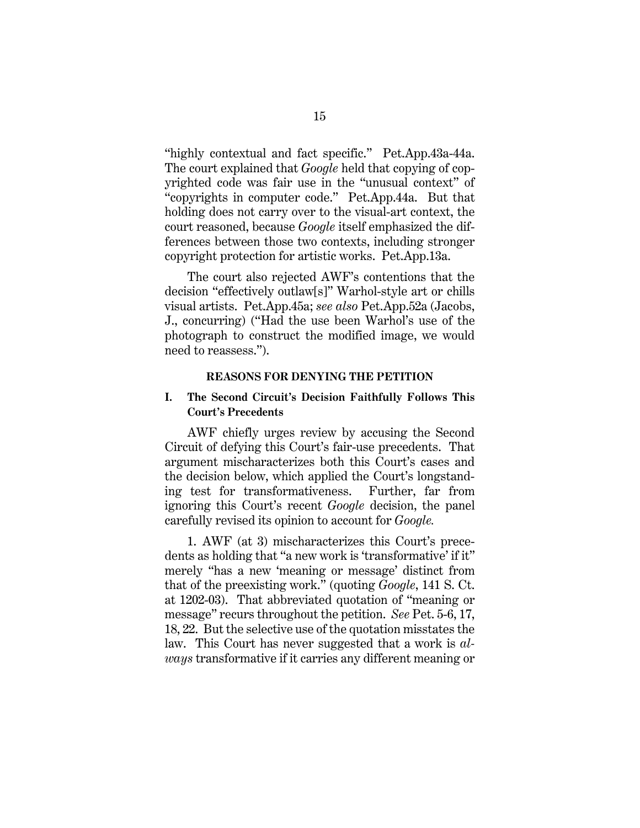"highly contextual and fact specific." Pet.App.43a-44a. The court explained that *Google* held that copying of copyrighted code was fair use in the "unusual context" of "copyrights in computer code." Pet.App.44a. But that holding does not carry over to the visual-art context, the court reasoned, because *Google* itself emphasized the differences between those two contexts, including stronger copyright protection for artistic works. Pet.App.13a.

The court also rejected AWF's contentions that the decision "effectively outlaw[s]" Warhol-style art or chills visual artists. Pet.App.45a; *see also* Pet.App.52a (Jacobs, J., concurring) ("Had the use been Warhol's use of the photograph to construct the modified image, we would need to reassess.").

#### **REASONS FOR DENYING THE PETITION**

### <span id="page-22-1"></span><span id="page-22-0"></span>**I. The Second Circuit's Decision Faithfully Follows This Court's Precedents**

AWF chiefly urges review by accusing the Second Circuit of defying this Court's fair-use precedents. That argument mischaracterizes both this Court's cases and the decision below, which applied the Court's longstanding test for transformativeness. Further, far from ignoring this Court's recent *Google* decision, the panel carefully revised its opinion to account for *Google.*

1. AWF (at 3) mischaracterizes this Court's precedents as holding that "a new work is 'transformative' if it" merely "has a new 'meaning or message' distinct from that of the preexisting work." (quoting *Google*, 141 S. Ct. at 1202-03). That abbreviated quotation of "meaning or message" recurs throughout the petition. *See* Pet. 5-6, 17, 18, 22. But the selective use of the quotation misstates the law. This Court has never suggested that a work is *always* transformative if it carries any different meaning or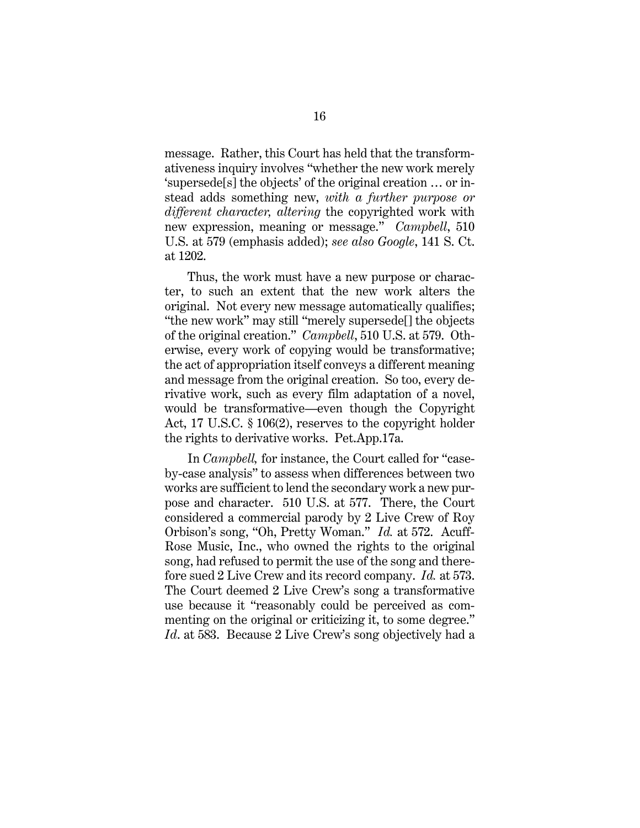message. Rather, this Court has held that the transformativeness inquiry involves "whether the new work merely 'supersede[s] the objects' of the original creation … or instead adds something new, *with a further purpose or different character, altering* the copyrighted work with new expression, meaning or message." *Campbell*, 510 U.S. at 579 (emphasis added); *see also Google*, 141 S. Ct. at 1202.

Thus, the work must have a new purpose or character, to such an extent that the new work alters the original. Not every new message automatically qualifies; "the new work" may still "merely supersede[] the objects of the original creation." *Campbell*, 510 U.S. at 579. Otherwise, every work of copying would be transformative; the act of appropriation itself conveys a different meaning and message from the original creation. So too, every derivative work, such as every film adaptation of a novel, would be transformative—even though the Copyright Act, 17 U.S.C. § 106(2), reserves to the copyright holder the rights to derivative works. Pet.App.17a.

In *Campbell,* for instance, the Court called for "caseby-case analysis" to assess when differences between two works are sufficient to lend the secondary work a new purpose and character. 510 U.S. at 577. There, the Court considered a commercial parody by 2 Live Crew of Roy Orbison's song, "Oh, Pretty Woman." *Id.* at 572. Acuff-Rose Music, Inc., who owned the rights to the original song, had refused to permit the use of the song and therefore sued 2 Live Crew and its record company. *Id.* at 573. The Court deemed 2 Live Crew's song a transformative use because it "reasonably could be perceived as commenting on the original or criticizing it, to some degree." *Id*. at 583. Because 2 Live Crew's song objectively had a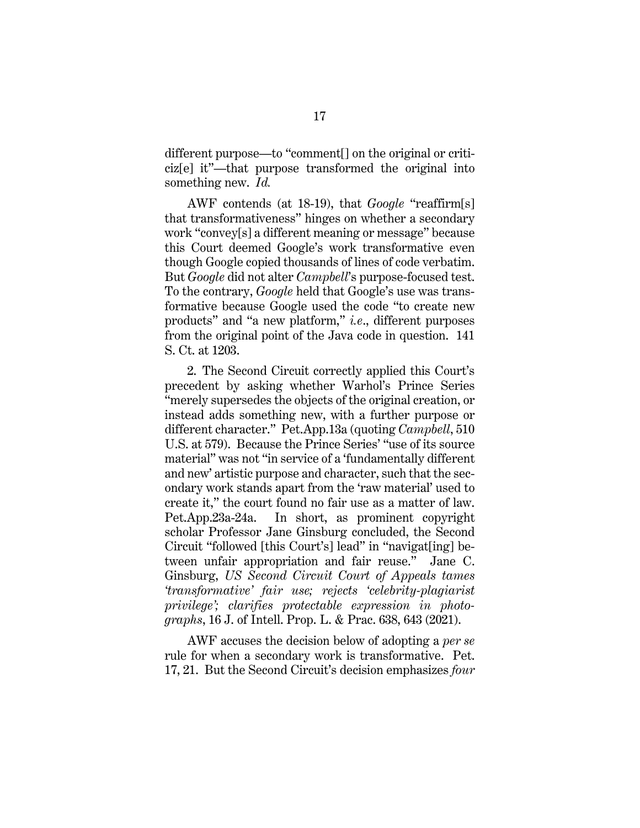different purpose—to "comment[] on the original or criticiz[e] it"—that purpose transformed the original into something new. *Id.* 

AWF contends (at 18-19), that *Google* "reaffirm[s] that transformativeness" hinges on whether a secondary work "convey[s] a different meaning or message" because this Court deemed Google's work transformative even though Google copied thousands of lines of code verbatim. But *Google* did not alter *Campbell*'s purpose-focused test. To the contrary, *Google* held that Google's use was transformative because Google used the code "to create new products" and "a new platform," *i.e*., different purposes from the original point of the Java code in question. 141 S. Ct. at 1203.

2. The Second Circuit correctly applied this Court's precedent by asking whether Warhol's Prince Series "merely supersedes the objects of the original creation, or instead adds something new, with a further purpose or different character." Pet.App.13a (quoting *Campbell*, 510 U.S. at 579). Because the Prince Series' "use of its source material" was not "in service of a 'fundamentally different and new' artistic purpose and character, such that the secondary work stands apart from the 'raw material' used to create it," the court found no fair use as a matter of law. Pet.App.23a-24a. In short, as prominent copyright scholar Professor Jane Ginsburg concluded, the Second Circuit "followed [this Court's] lead" in "navigat[ing] between unfair appropriation and fair reuse." Jane C. Ginsburg, *US Second Circuit Court of Appeals tames 'transformative' fair use; rejects 'celebrity-plagiarist privilege'; clarifies protectable expression in photographs*, 16 J. of Intell. Prop. L. & Prac. 638, 643 (2021).

<span id="page-24-0"></span>AWF accuses the decision below of adopting a *per se*  rule for when a secondary work is transformative. Pet. 17, 21. But the Second Circuit's decision emphasizes *four*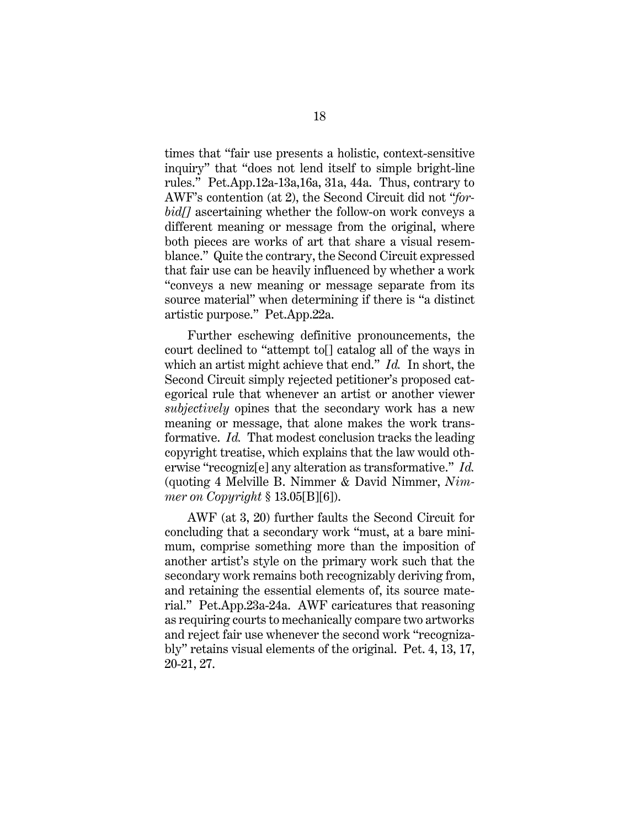times that "fair use presents a holistic, context-sensitive inquiry" that "does not lend itself to simple bright-line rules." Pet.App.12a-13a,16a, 31a, 44a. Thus, contrary to AWF's contention (at 2), the Second Circuit did not "*forbid[]* ascertaining whether the follow-on work conveys a different meaning or message from the original, where both pieces are works of art that share a visual resemblance." Quite the contrary, the Second Circuit expressed that fair use can be heavily influenced by whether a work "conveys a new meaning or message separate from its source material" when determining if there is "a distinct artistic purpose." Pet.App.22a.

Further eschewing definitive pronouncements, the court declined to "attempt to[] catalog all of the ways in which an artist might achieve that end." *Id.* In short, the Second Circuit simply rejected petitioner's proposed categorical rule that whenever an artist or another viewer *subjectively* opines that the secondary work has a new meaning or message, that alone makes the work transformative. *Id.* That modest conclusion tracks the leading copyright treatise, which explains that the law would otherwise "recogniz[e] any alteration as transformative." *Id.*  (quoting 4 Melville B. Nimmer & David Nimmer, *Nimmer on Copyright* § 13.05[B][6]).

<span id="page-25-0"></span>AWF (at 3, 20) further faults the Second Circuit for concluding that a secondary work "must, at a bare minimum, comprise something more than the imposition of another artist's style on the primary work such that the secondary work remains both recognizably deriving from, and retaining the essential elements of, its source material." Pet.App.23a-24a. AWF caricatures that reasoning as requiring courts to mechanically compare two artworks and reject fair use whenever the second work "recognizably" retains visual elements of the original. Pet. 4, 13, 17, 20-21, 27.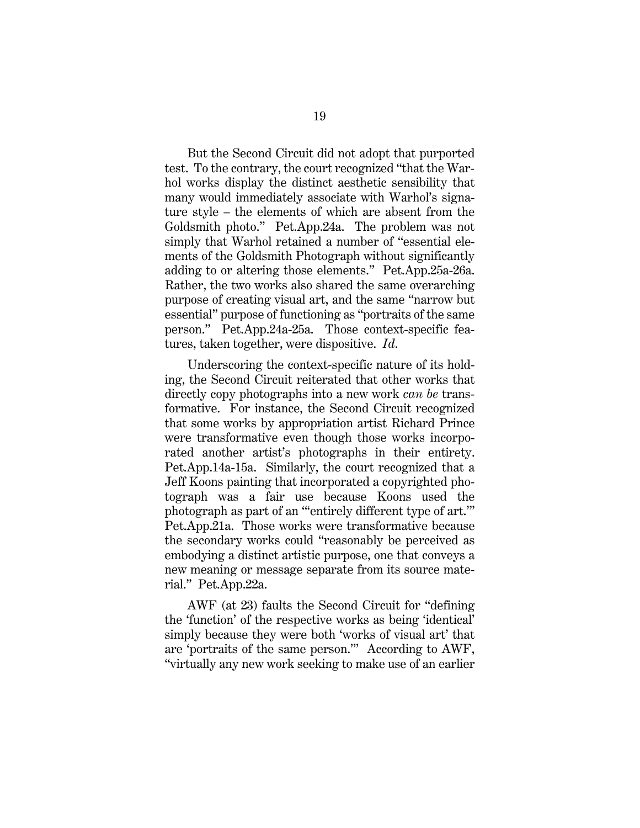But the Second Circuit did not adopt that purported test. To the contrary, the court recognized "that the Warhol works display the distinct aesthetic sensibility that many would immediately associate with Warhol's signature style – the elements of which are absent from the Goldsmith photo." Pet.App.24a. The problem was not simply that Warhol retained a number of "essential elements of the Goldsmith Photograph without significantly adding to or altering those elements." Pet.App.25a-26a. Rather, the two works also shared the same overarching purpose of creating visual art, and the same "narrow but essential" purpose of functioning as "portraits of the same person." Pet.App.24a-25a. Those context-specific features, taken together, were dispositive. *Id*.

Underscoring the context-specific nature of its holding, the Second Circuit reiterated that other works that directly copy photographs into a new work *can be* transformative. For instance, the Second Circuit recognized that some works by appropriation artist Richard Prince were transformative even though those works incorporated another artist's photographs in their entirety. Pet.App.14a-15a. Similarly, the court recognized that a Jeff Koons painting that incorporated a copyrighted photograph was a fair use because Koons used the photograph as part of an "'entirely different type of art.'" Pet.App.21a. Those works were transformative because the secondary works could "reasonably be perceived as embodying a distinct artistic purpose, one that conveys a new meaning or message separate from its source material." Pet.App.22a.

AWF (at 23) faults the Second Circuit for "defining the 'function' of the respective works as being 'identical' simply because they were both 'works of visual art' that are 'portraits of the same person.'" According to AWF, "virtually any new work seeking to make use of an earlier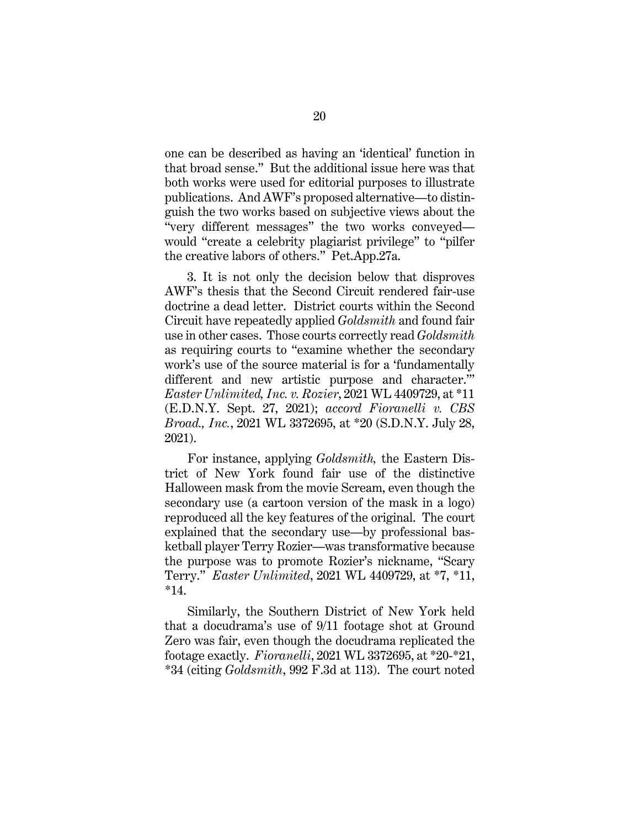one can be described as having an 'identical' function in that broad sense." But the additional issue here was that both works were used for editorial purposes to illustrate publications. And AWF's proposed alternative—to distinguish the two works based on subjective views about the "very different messages" the two works conveyed would "create a celebrity plagiarist privilege" to "pilfer the creative labors of others." Pet.App.27a.

3. It is not only the decision below that disproves AWF's thesis that the Second Circuit rendered fair-use doctrine a dead letter. District courts within the Second Circuit have repeatedly applied *Goldsmith* and found fair use in other cases. Those courts correctly read *Goldsmith*  as requiring courts to "examine whether the secondary work's use of the source material is for a 'fundamentally different and new artistic purpose and character.'" *Easter Unlimited, Inc. v. Rozier*, 2021 WL 4409729, at \*11 (E.D.N.Y. Sept. 27, 2021); *accord Fioranelli v. CBS Broad., Inc.*, 2021 WL 3372695, at \*20 (S.D.N.Y. July 28, 2021).

<span id="page-27-1"></span><span id="page-27-0"></span>For instance, applying *Goldsmith,* the Eastern District of New York found fair use of the distinctive Halloween mask from the movie Scream, even though the secondary use (a cartoon version of the mask in a logo) reproduced all the key features of the original. The court explained that the secondary use—by professional basketball player Terry Rozier—was transformative because the purpose was to promote Rozier's nickname, "Scary Terry." *Easter Unlimited*, 2021 WL 4409729, at \*7, \*11, \*14.

Similarly, the Southern District of New York held that a docudrama's use of 9/11 footage shot at Ground Zero was fair, even though the docudrama replicated the footage exactly. *Fioranelli*, 2021 WL 3372695, at \*20-\*21, \*34 (citing *Goldsmith*, 992 F.3d at 113). The court noted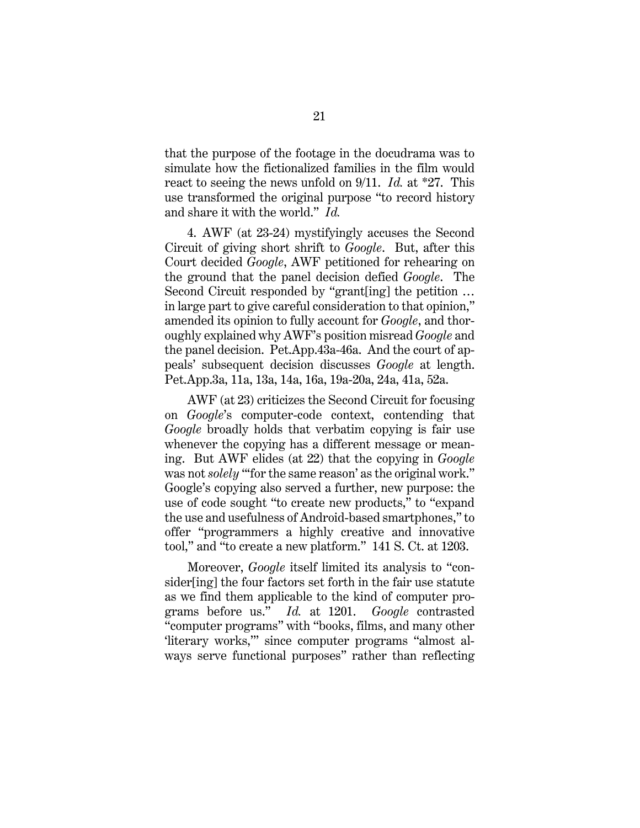that the purpose of the footage in the docudrama was to simulate how the fictionalized families in the film would react to seeing the news unfold on 9/11. *Id.* at \*27. This use transformed the original purpose "to record history and share it with the world." *Id.*

4. AWF (at 23-24) mystifyingly accuses the Second Circuit of giving short shrift to *Google*. But, after this Court decided *Google*, AWF petitioned for rehearing on the ground that the panel decision defied *Google*. The Second Circuit responded by "grant[ing] the petition … in large part to give careful consideration to that opinion," amended its opinion to fully account for *Google*, and thoroughly explained why AWF's position misread *Google* and the panel decision. Pet.App.43a-46a. And the court of appeals' subsequent decision discusses *Google* at length. Pet.App.3a, 11a, 13a, 14a, 16a, 19a-20a, 24a, 41a, 52a.

AWF (at 23) criticizes the Second Circuit for focusing on *Google*'s computer-code context, contending that *Google* broadly holds that verbatim copying is fair use whenever the copying has a different message or meaning. But AWF elides (at 22) that the copying in *Google* was not *solely* "for the same reason' as the original work." Google's copying also served a further, new purpose: the use of code sought "to create new products," to "expand the use and usefulness of Android-based smartphones," to offer "programmers a highly creative and innovative tool," and "to create a new platform." 141 S. Ct. at 1203.

Moreover, *Google* itself limited its analysis to "consider[ing] the four factors set forth in the fair use statute as we find them applicable to the kind of computer programs before us." *Id.* at 1201. *Google* contrasted "computer programs" with "books, films, and many other 'literary works,'" since computer programs "almost always serve functional purposes" rather than reflecting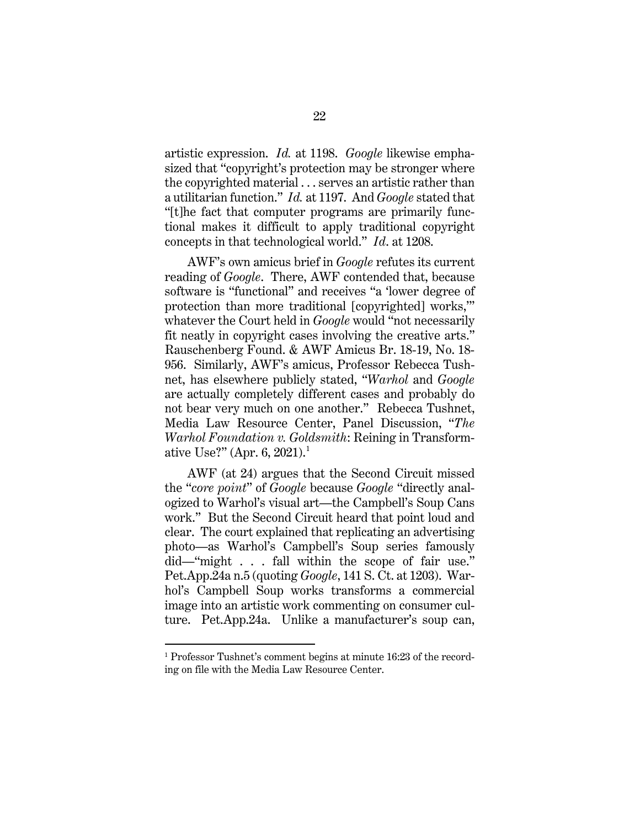artistic expression. *Id.* at 1198. *Google* likewise emphasized that "copyright's protection may be stronger where the copyrighted material . . . serves an artistic rather than a utilitarian function." *Id.* at 1197. And *Google* stated that "[t]he fact that computer programs are primarily functional makes it difficult to apply traditional copyright concepts in that technological world." *Id*. at 1208.

AWF's own amicus brief in *Google* refutes its current reading of *Google*. There, AWF contended that, because software is "functional" and receives "a 'lower degree of protection than more traditional [copyrighted] works,'" whatever the Court held in *Google* would "not necessarily fit neatly in copyright cases involving the creative arts." Rauschenberg Found. & AWF Amicus Br. 18-19, No. 18- 956. Similarly, AWF's amicus, Professor Rebecca Tushnet, has elsewhere publicly stated, "*Warhol* and *Google* are actually completely different cases and probably do not bear very much on one another." Rebecca Tushnet, Media Law Resource Center, Panel Discussion, "*The Warhol Foundation v. Goldsmith*: Reining in Transform-ative Use?" (Apr. 6, 202[1](#page-29-1)).<sup>1</sup>

<span id="page-29-0"></span>AWF (at 24) argues that the Second Circuit missed the "*core point*" of *Google* because *Google* "directly analogized to Warhol's visual art—the Campbell's Soup Cans work." But the Second Circuit heard that point loud and clear. The court explained that replicating an advertising photo—as Warhol's Campbell's Soup series famously did—"might . . . fall within the scope of fair use." Pet.App.24a n.5 (quoting *Google*, 141 S. Ct. at 1203). Warhol's Campbell Soup works transforms a commercial image into an artistic work commenting on consumer culture. Pet.App.24a. Unlike a manufacturer's soup can,

<span id="page-29-1"></span> <sup>1</sup> Professor Tushnet's comment begins at minute 16:23 of the recording on file with the Media Law Resource Center.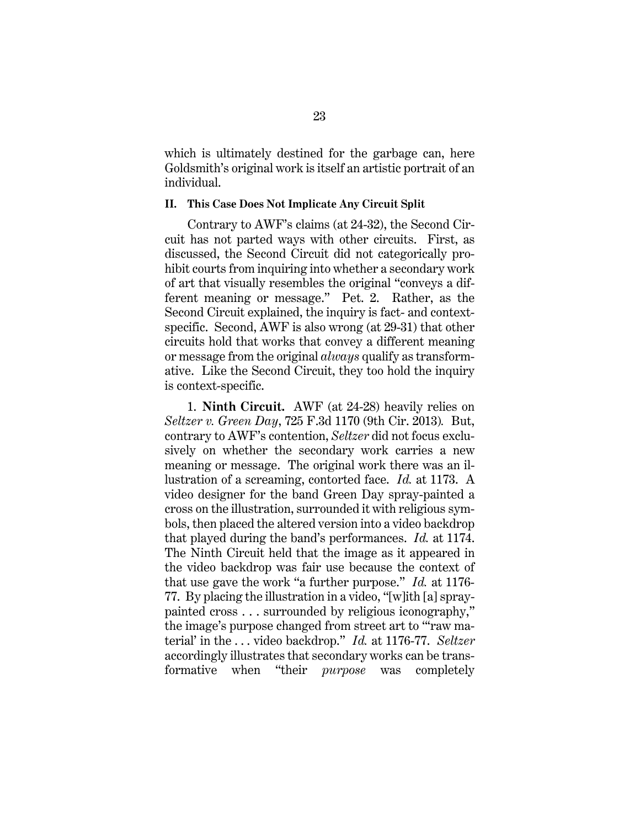which is ultimately destined for the garbage can, here Goldsmith's original work is itself an artistic portrait of an individual.

#### <span id="page-30-0"></span>**II. This Case Does Not Implicate Any Circuit Split**

Contrary to AWF's claims (at 24-32), the Second Circuit has not parted ways with other circuits. First, as discussed, the Second Circuit did not categorically prohibit courts from inquiring into whether a secondary work of art that visually resembles the original "conveys a different meaning or message." Pet. 2. Rather, as the Second Circuit explained, the inquiry is fact- and contextspecific. Second, AWF is also wrong (at 29-31) that other circuits hold that works that convey a different meaning or message from the original *always* qualify as transformative. Like the Second Circuit, they too hold the inquiry is context-specific.

<span id="page-30-1"></span>1. **Ninth Circuit.** AWF (at 24-28) heavily relies on *Seltzer v. Green Day*, 725 F.3d 1170 (9th Cir. 2013)*.* But, contrary to AWF's contention, *Seltzer* did not focus exclusively on whether the secondary work carries a new meaning or message. The original work there was an illustration of a screaming, contorted face. *Id.* at 1173. A video designer for the band Green Day spray-painted a cross on the illustration, surrounded it with religious symbols, then placed the altered version into a video backdrop that played during the band's performances. *Id.* at 1174. The Ninth Circuit held that the image as it appeared in the video backdrop was fair use because the context of that use gave the work "a further purpose." *Id.* at 1176- 77. By placing the illustration in a video, "[w]ith [a] spraypainted cross . . . surrounded by religious iconography," the image's purpose changed from street art to "'raw material' in the . . . video backdrop." *Id.* at 1176-77. *Seltzer*  accordingly illustrates that secondary works can be transformative when "their *purpose* was completely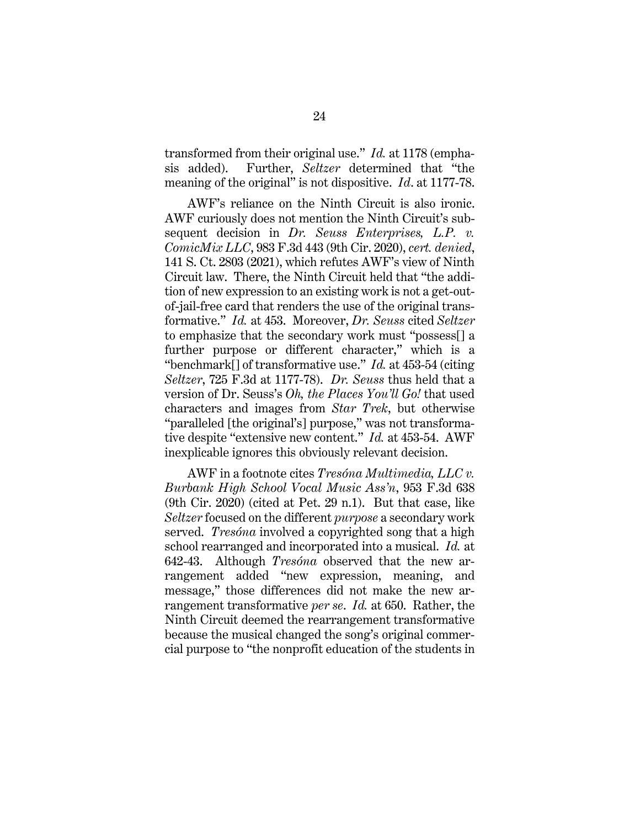<span id="page-31-1"></span>transformed from their original use." *Id.* at 1178 (emphasis added). Further, *Seltzer* determined that "the meaning of the original" is not dispositive. *Id*. at 1177-78.

<span id="page-31-0"></span>AWF's reliance on the Ninth Circuit is also ironic. AWF curiously does not mention the Ninth Circuit's subsequent decision in *Dr. Seuss Enterprises, L.P. v. ComicMix LLC*, 983 F.3d 443 (9th Cir. 2020), *cert. denied*, 141 S. Ct. 2803 (2021), which refutes AWF's view of Ninth Circuit law. There, the Ninth Circuit held that "the addition of new expression to an existing work is not a get-outof-jail-free card that renders the use of the original transformative." *Id.* at 453.Moreover, *Dr. Seuss* cited *Seltzer*  to emphasize that the secondary work must "possess[] a further purpose or different character," which is a "benchmark[] of transformative use." *Id.* at 453-54 (citing *Seltzer*, 725 F.3d at 1177-78). *Dr. Seuss* thus held that a version of Dr. Seuss's *Oh, the Places You'll Go!* that used characters and images from *Star Trek*, but otherwise "paralleled [the original's] purpose," was not transformative despite "extensive new content." *Id.* at 453-54. AWF inexplicable ignores this obviously relevant decision.

<span id="page-31-2"></span>AWF in a footnote cites *Tresóna Multimedia, LLC v. Burbank High School Vocal Music Ass'n*, 953 F.3d 638 (9th Cir. 2020) (cited at Pet. 29 n.1). But that case, like *Seltzer* focused on the different *purpose* a secondary work served. *Tresóna* involved a copyrighted song that a high school rearranged and incorporated into a musical. *Id.* at 642-43. Although *Tresóna* observed that the new arrangement added "new expression, meaning, and message," those differences did not make the new arrangement transformative *per se*. *Id.* at 650. Rather, the Ninth Circuit deemed the rearrangement transformative because the musical changed the song's original commercial purpose to "the nonprofit education of the students in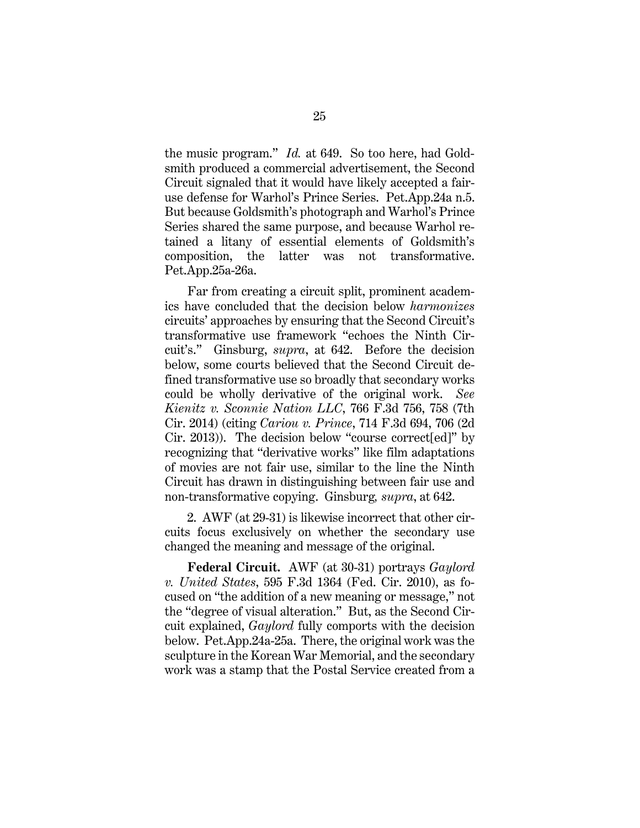the music program." *Id.* at 649. So too here, had Goldsmith produced a commercial advertisement, the Second Circuit signaled that it would have likely accepted a fairuse defense for Warhol's Prince Series. Pet.App.24a n.5. But because Goldsmith's photograph and Warhol's Prince Series shared the same purpose, and because Warhol retained a litany of essential elements of Goldsmith's composition, the latter was not transformative. Pet.App.25a-26a.

Far from creating a circuit split, prominent academics have concluded that the decision below *harmonizes*  circuits' approaches by ensuring that the Second Circuit's transformative use framework "echoes the Ninth Circuit's." Ginsburg, *supra*, at 642. Before the decision below, some courts believed that the Second Circuit defined transformative use so broadly that secondary works could be wholly derivative of the original work. *See Kienitz v. Sconnie Nation LLC*, 766 F.3d 756, 758 (7th Cir. 2014) (citing *Cariou v. Prince*, 714 F.3d 694, 706 (2d Cir. 2013)). The decision below "course correct[ed]" by recognizing that "derivative works" like film adaptations of movies are not fair use, similar to the line the Ninth Circuit has drawn in distinguishing between fair use and non-transformative copying. Ginsburg*, supra*, at 642.

<span id="page-32-2"></span><span id="page-32-0"></span>2. AWF (at 29-31) is likewise incorrect that other circuits focus exclusively on whether the secondary use changed the meaning and message of the original.

<span id="page-32-1"></span>**Federal Circuit.** AWF (at 30-31) portrays *Gaylord v. United States*, 595 F.3d 1364 (Fed. Cir. 2010), as focused on "the addition of a new meaning or message," not the "degree of visual alteration." But, as the Second Circuit explained, *Gaylord* fully comports with the decision below. Pet.App.24a-25a. There, the original work was the sculpture in the Korean War Memorial, and the secondary work was a stamp that the Postal Service created from a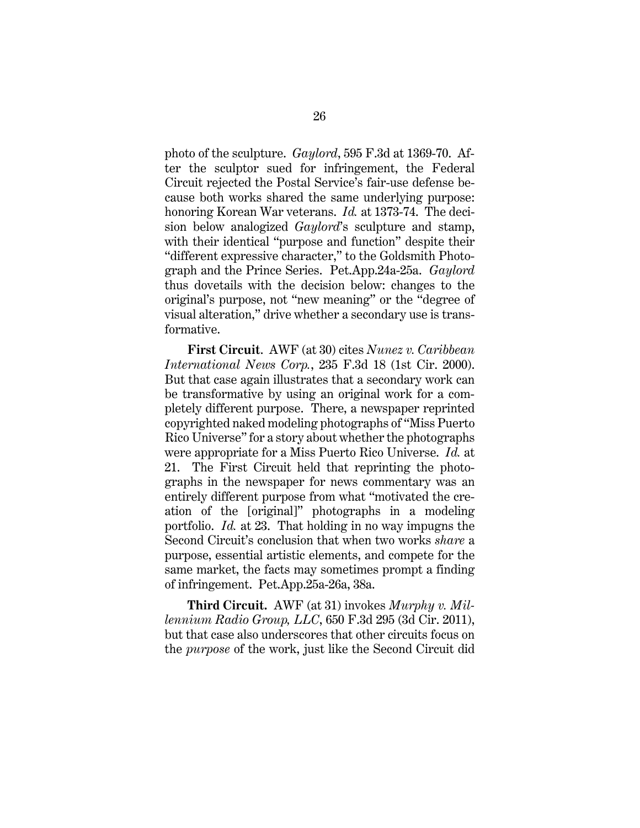photo of the sculpture. *Gaylord*, 595 F.3d at 1369-70. After the sculptor sued for infringement, the Federal Circuit rejected the Postal Service's fair-use defense because both works shared the same underlying purpose: honoring Korean War veterans. *Id.* at 1373-74. The decision below analogized *Gaylord*'s sculpture and stamp, with their identical "purpose and function" despite their "different expressive character," to the Goldsmith Photograph and the Prince Series. Pet.App.24a-25a. *Gaylord* thus dovetails with the decision below: changes to the original's purpose, not "new meaning" or the "degree of visual alteration," drive whether a secondary use is transformative.

<span id="page-33-1"></span>**First Circuit**. AWF (at 30) cites *Nunez v. Caribbean International News Corp.*, 235 F.3d 18 (1st Cir. 2000). But that case again illustrates that a secondary work can be transformative by using an original work for a completely different purpose. There, a newspaper reprinted copyrighted naked modeling photographs of "Miss Puerto Rico Universe" for a story about whether the photographs were appropriate for a Miss Puerto Rico Universe. *Id.* at 21. The First Circuit held that reprinting the photographs in the newspaper for news commentary was an entirely different purpose from what "motivated the creation of the [original]" photographs in a modeling portfolio. *Id.* at 23. That holding in no way impugns the Second Circuit's conclusion that when two works *share* a purpose, essential artistic elements, and compete for the same market, the facts may sometimes prompt a finding of infringement. Pet.App.25a-26a, 38a.

<span id="page-33-0"></span>**Third Circuit.** AWF (at 31) invokes *Murphy v. Millennium Radio Group, LLC*, 650 F.3d 295 (3d Cir. 2011), but that case also underscores that other circuits focus on the *purpose* of the work, just like the Second Circuit did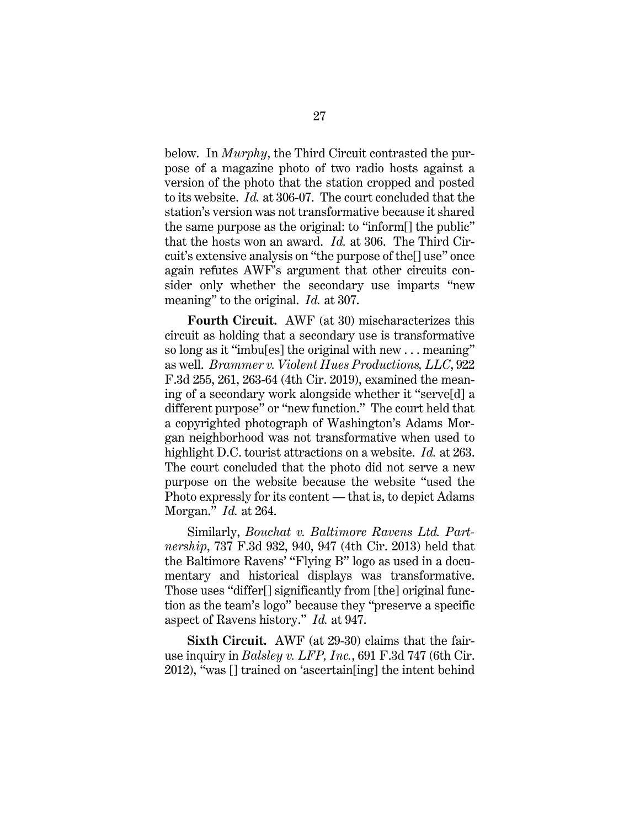below. In *Murphy*, the Third Circuit contrasted the purpose of a magazine photo of two radio hosts against a version of the photo that the station cropped and posted to its website. *Id.* at 306-07. The court concluded that the station's version was not transformative because it shared the same purpose as the original: to "inform[] the public" that the hosts won an award. *Id.* at 306. The Third Circuit's extensive analysis on "the purpose of the[] use" once again refutes AWF's argument that other circuits consider only whether the secondary use imparts "new meaning" to the original. *Id.* at 307.

<span id="page-34-2"></span>**Fourth Circuit.** AWF (at 30) mischaracterizes this circuit as holding that a secondary use is transformative so long as it "imbu[es] the original with new . . . meaning" as well. *Brammer v. Violent Hues Productions, LLC*, 922 F.3d 255, 261, 263-64 (4th Cir. 2019), examined the meaning of a secondary work alongside whether it "serve[d] a different purpose" or "new function." The court held that a copyrighted photograph of Washington's Adams Morgan neighborhood was not transformative when used to highlight D.C. tourist attractions on a website. *Id.* at 263. The court concluded that the photo did not serve a new purpose on the website because the website "used the Photo expressly for its content — that is, to depict Adams Morgan." *Id.* at 264.

<span id="page-34-1"></span>Similarly, *Bouchat v. Baltimore Ravens Ltd. Partnership*, 737 F.3d 932, 940, 947 (4th Cir. 2013) held that the Baltimore Ravens' "Flying B" logo as used in a documentary and historical displays was transformative. Those uses "differ[] significantly from [the] original function as the team's logo" because they "preserve a specific aspect of Ravens history." *Id.* at 947.

<span id="page-34-0"></span>**Sixth Circuit.** AWF (at 29-30) claims that the fairuse inquiry in *Balsley v. LFP, Inc.*, 691 F.3d 747 (6th Cir. 2012), "was [] trained on 'ascertain[ing] the intent behind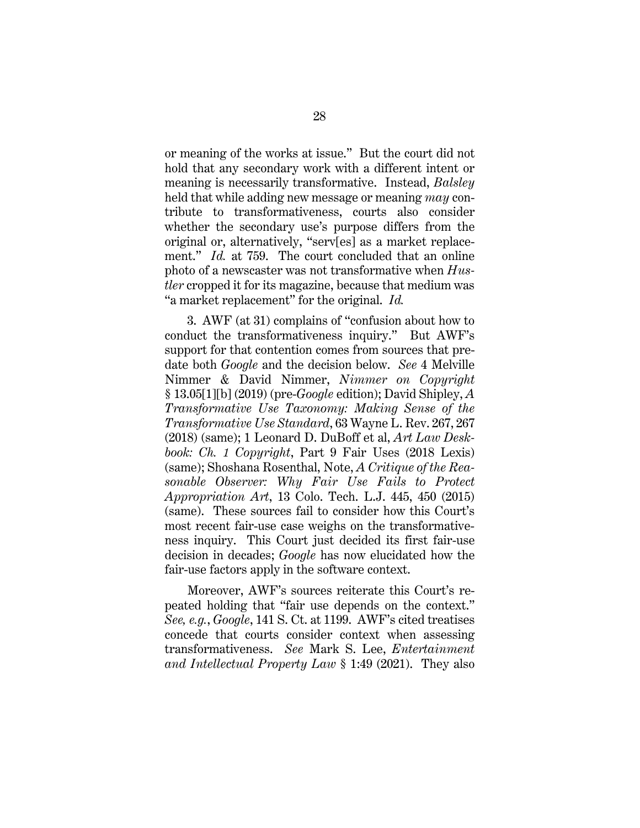<span id="page-35-0"></span>or meaning of the works at issue." But the court did not hold that any secondary work with a different intent or meaning is necessarily transformative. Instead, *Balsley* held that while adding new message or meaning *may* contribute to transformativeness, courts also consider whether the secondary use's purpose differs from the original or, alternatively, "serv[es] as a market replacement." *Id.* at 759. The court concluded that an online photo of a newscaster was not transformative when *Hustler* cropped it for its magazine, because that medium was "a market replacement" for the original. *Id.*

<span id="page-35-5"></span><span id="page-35-3"></span><span id="page-35-1"></span>3. AWF (at 31) complains of "confusion about how to conduct the transformativeness inquiry." But AWF's support for that contention comes from sources that predate both *Google* and the decision below. *See* 4 Melville Nimmer & David Nimmer, *Nimmer on Copyright*  § 13.05[1][b] (2019) (pre-*Google* edition); David Shipley, *A Transformative Use Taxonomy: Making Sense of the Transformative Use Standard*, 63 Wayne L. Rev. 267, 267 (2018) (same); 1 Leonard D. DuBoff et al, *Art Law Deskbook: Ch. 1 Copyright*, Part 9 Fair Uses (2018 Lexis) (same); Shoshana Rosenthal, Note, *A Critique of the Reasonable Observer: Why Fair Use Fails to Protect Appropriation Art*, 13 Colo. Tech. L.J. 445, 450 (2015) (same). These sources fail to consider how this Court's most recent fair-use case weighs on the transformativeness inquiry. This Court just decided its first fair-use decision in decades; *Google* has now elucidated how the fair-use factors apply in the software context.

<span id="page-35-4"></span><span id="page-35-2"></span>Moreover, AWF's sources reiterate this Court's repeated holding that "fair use depends on the context." *See, e.g.*, *Google*, 141 S. Ct. at 1199. AWF's cited treatises concede that courts consider context when assessing transformativeness. *See* Mark S. Lee, *Entertainment and Intellectual Property Law* § 1:49 (2021). They also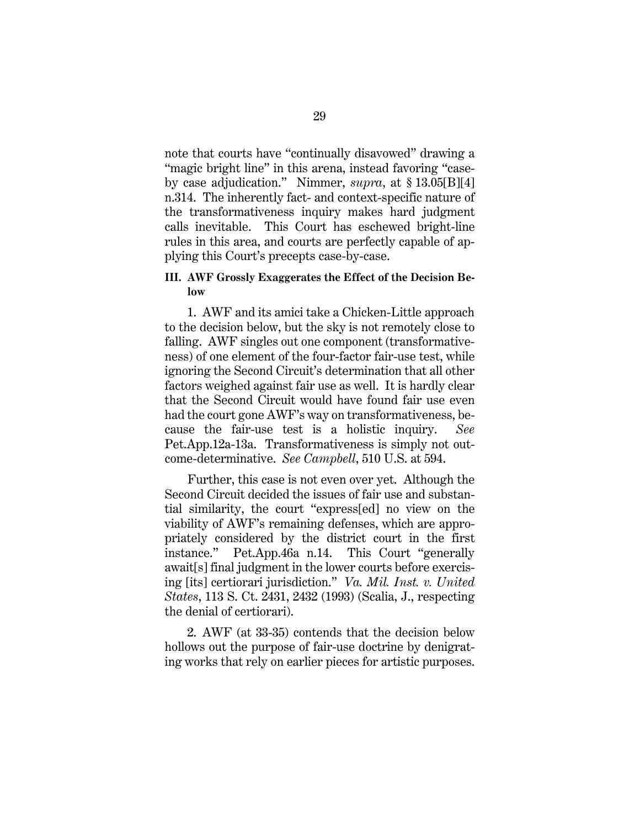<span id="page-36-2"></span>note that courts have "continually disavowed" drawing a "magic bright line" in this arena, instead favoring "caseby case adjudication." Nimmer, *supra*, at § 13.05[B][4] n.314. The inherently fact- and context-specific nature of the transformativeness inquiry makes hard judgment calls inevitable. This Court has eschewed bright-line rules in this area, and courts are perfectly capable of applying this Court's precepts case-by-case.

### <span id="page-36-0"></span>**III. AWF Grossly Exaggerates the Effect of the Decision Below**

1. AWF and its amici take a Chicken-Little approach to the decision below, but the sky is not remotely close to falling. AWF singles out one component (transformativeness) of one element of the four-factor fair-use test, while ignoring the Second Circuit's determination that all other factors weighed against fair use as well. It is hardly clear that the Second Circuit would have found fair use even had the court gone AWF's way on transformativeness, because the fair-use test is a holistic inquiry. *See*  Pet.App.12a-13a. Transformativeness is simply not outcome-determinative. *See Campbell*, 510 U.S. at 594.

Further, this case is not even over yet. Although the Second Circuit decided the issues of fair use and substantial similarity, the court "express[ed] no view on the viability of AWF's remaining defenses, which are appropriately considered by the district court in the first instance." Pet.App.46a n.14. This Court "generally await[s] final judgment in the lower courts before exercising [its] certiorari jurisdiction." *Va. Mil. Inst. v. United States*, 113 S. Ct. 2431, 2432 (1993) (Scalia, J., respecting the denial of certiorari).

<span id="page-36-1"></span>2. AWF (at 33-35) contends that the decision below hollows out the purpose of fair-use doctrine by denigrating works that rely on earlier pieces for artistic purposes.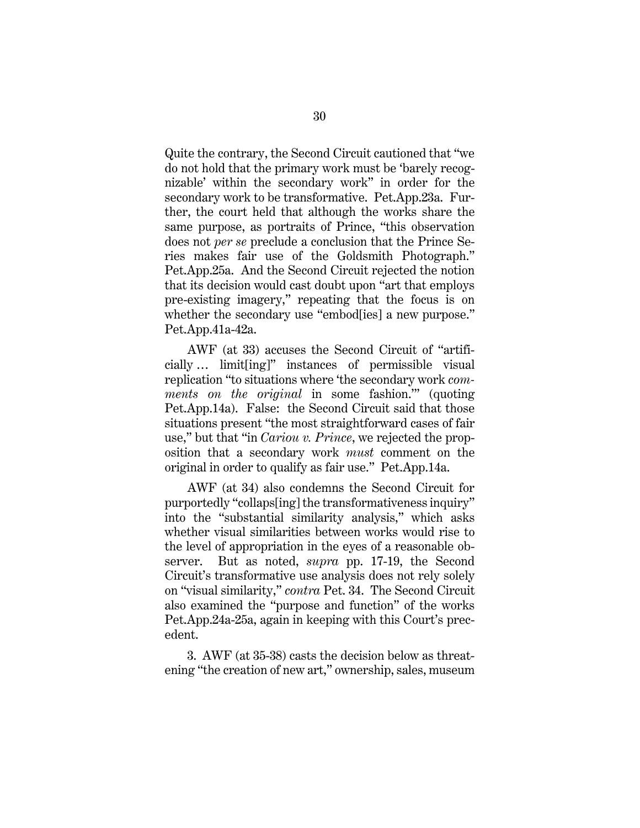Quite the contrary, the Second Circuit cautioned that "we do not hold that the primary work must be 'barely recognizable' within the secondary work" in order for the secondary work to be transformative. Pet.App.23a. Further, the court held that although the works share the same purpose, as portraits of Prince, "this observation does not *per se* preclude a conclusion that the Prince Series makes fair use of the Goldsmith Photograph." Pet.App.25a. And the Second Circuit rejected the notion that its decision would cast doubt upon "art that employs pre-existing imagery," repeating that the focus is on whether the secondary use "embod[ies] a new purpose." Pet.App.41a-42a.

AWF (at 33) accuses the Second Circuit of "artificially … limit[ing]" instances of permissible visual replication "to situations where 'the secondary work *comments on the original* in some fashion.'" (quoting Pet.App.14a). False: the Second Circuit said that those situations present "the most straightforward cases of fair use," but that "in *Cariou v. Prince*, we rejected the proposition that a secondary work *must* comment on the original in order to qualify as fair use." Pet.App.14a.

<span id="page-37-0"></span>AWF (at 34) also condemns the Second Circuit for purportedly "collaps[ing] the transformativeness inquiry" into the "substantial similarity analysis," which asks whether visual similarities between works would rise to the level of appropriation in the eyes of a reasonable observer. But as noted, *supra* pp. 17-19, the Second Circuit's transformative use analysis does not rely solely on "visual similarity," *contra* Pet. 34. The Second Circuit also examined the "purpose and function" of the works Pet.App.24a-25a, again in keeping with this Court's precedent.

3. AWF (at 35-38) casts the decision below as threatening "the creation of new art," ownership, sales, museum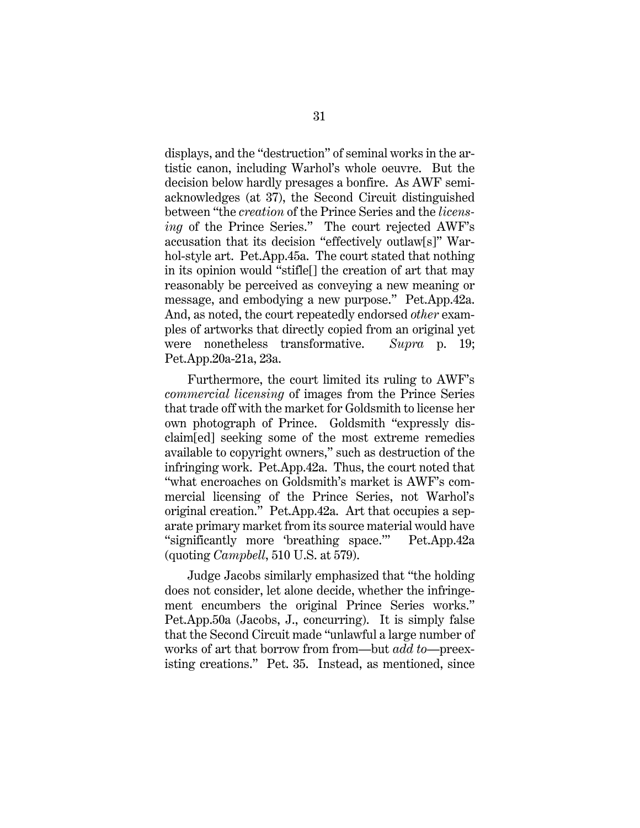displays, and the "destruction" of seminal works in the artistic canon, including Warhol's whole oeuvre. But the decision below hardly presages a bonfire. As AWF semiacknowledges (at 37), the Second Circuit distinguished between "the *creation* of the Prince Series and the *licensing* of the Prince Series." The court rejected AWF's accusation that its decision "effectively outlaw[s]" Warhol-style art. Pet.App.45a. The court stated that nothing in its opinion would "stifle[] the creation of art that may reasonably be perceived as conveying a new meaning or message, and embodying a new purpose." Pet.App.42a. And, as noted, the court repeatedly endorsed *other* examples of artworks that directly copied from an original yet were nonetheless transformative. *Supra* p. 19; Pet.App.20a-21a, 23a.

Furthermore, the court limited its ruling to AWF's *commercial licensing* of images from the Prince Series that trade off with the market for Goldsmith to license her own photograph of Prince. Goldsmith "expressly disclaim[ed] seeking some of the most extreme remedies available to copyright owners," such as destruction of the infringing work. Pet.App.42a.Thus, the court noted that "what encroaches on Goldsmith's market is AWF's commercial licensing of the Prince Series, not Warhol's original creation." Pet.App.42a. Art that occupies a separate primary market from its source material would have "significantly more 'breathing space.'" Pet.App.42a (quoting *Campbell*, 510 U.S. at 579).

Judge Jacobs similarly emphasized that "the holding does not consider, let alone decide, whether the infringement encumbers the original Prince Series works." Pet.App.50a (Jacobs, J., concurring). It is simply false that the Second Circuit made "unlawful a large number of works of art that borrow from from—but *add to*—preexisting creations." Pet. 35. Instead, as mentioned, since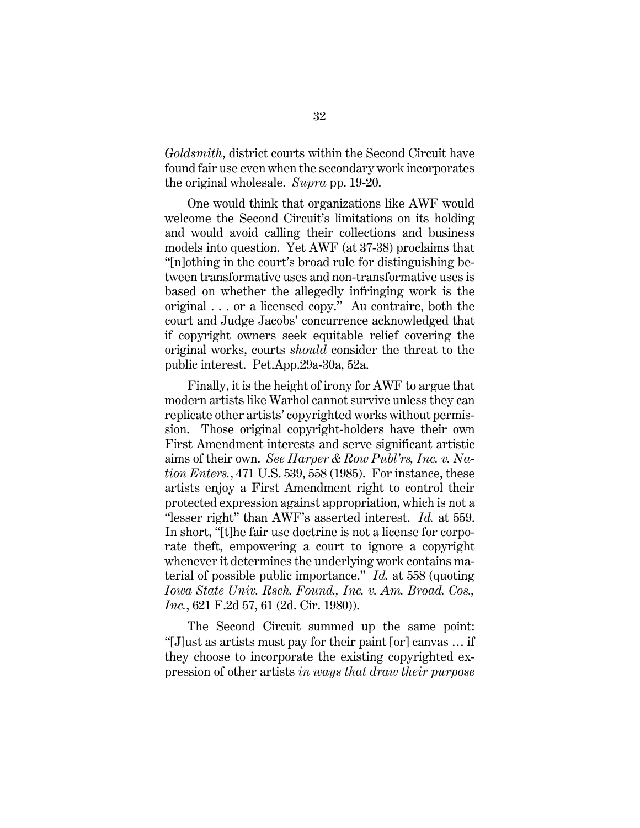*Goldsmith*, district courts within the Second Circuit have found fair use even when the secondary work incorporates the original wholesale. *Supra* pp. 19-20.

One would think that organizations like AWF would welcome the Second Circuit's limitations on its holding and would avoid calling their collections and business models into question. Yet AWF (at 37-38) proclaims that "[n]othing in the court's broad rule for distinguishing between transformative uses and non-transformative uses is based on whether the allegedly infringing work is the original . . . or a licensed copy." Au contraire, both the court and Judge Jacobs' concurrence acknowledged that if copyright owners seek equitable relief covering the original works, courts *should* consider the threat to the public interest. Pet.App.29a-30a, 52a.

<span id="page-39-2"></span><span id="page-39-0"></span>Finally, it is the height of irony for AWF to argue that modern artists like Warhol cannot survive unless they can replicate other artists' copyrighted works without permission. Those original copyright-holders have their own First Amendment interests and serve significant artistic aims of their own. *See Harper & Row Publ'rs, Inc. v. Nation Enters.*, 471 U.S. 539, 558 (1985). For instance, these artists enjoy a First Amendment right to control their protected expression against appropriation, which is not a "lesser right" than AWF's asserted interest. *Id.* at 559. In short, "[t]he fair use doctrine is not a license for corporate theft, empowering a court to ignore a copyright whenever it determines the underlying work contains material of possible public importance." *Id.* at 558 (quoting *Iowa State Univ. Rsch. Found., Inc. v. Am. Broad. Cos., Inc.*, 621 F.2d 57, 61 (2d. Cir. 1980)).

<span id="page-39-1"></span>The Second Circuit summed up the same point: "[J]ust as artists must pay for their paint [or] canvas … if they choose to incorporate the existing copyrighted expression of other artists *in ways that draw their purpose*